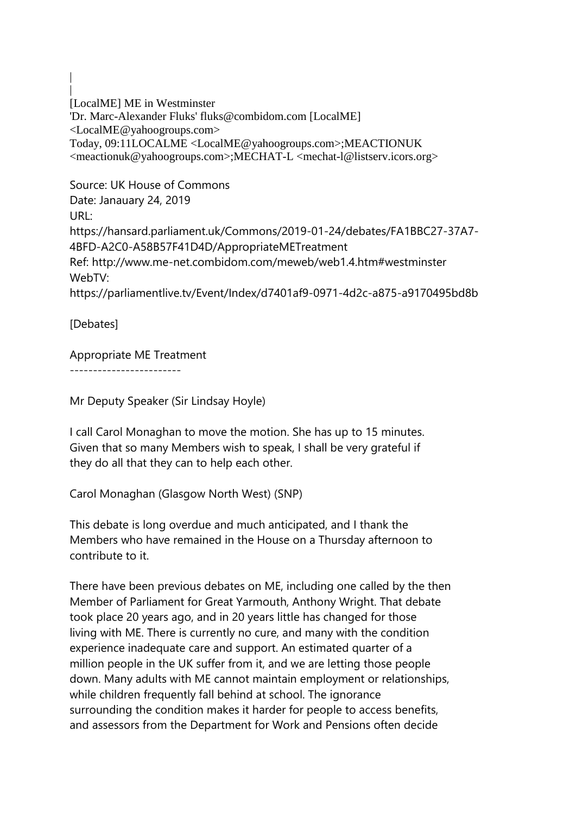| [LocalME] ME in Westminster 'Dr. Marc-Alexander Fluks' fluks@combidom.com [LocalME] <LocalME@yahoogroups.com> Today, 09:11LOCALME <LocalME@yahoogroups.com>;MEACTIONUK <meactionuk@yahoogroups.com>;MECHAT-L <mechat-l@listserv.icors.org>

Source: UK House of Commons Date: Janauary 24, 2019 URL: https://hansard.parliament.uk/Commons/2019-01-24/debates/FA1BBC27-37A7- 4BFD-A2C0-A58B57F41D4D/AppropriateMETreatment Ref: http://www.me-net.combidom.com/meweb/web1.4.htm#westminster WebTV: https://parliamentlive.tv/Event/Index/d7401af9-0971-4d2c-a875-a9170495bd8b

[Debates]

|

# Appropriate ME Treatment

------------------------

Mr Deputy Speaker (Sir Lindsay Hoyle)

I call Carol Monaghan to move the motion. She has up to 15 minutes. Given that so many Members wish to speak, I shall be very grateful if they do all that they can to help each other.

Carol Monaghan (Glasgow North West) (SNP)

This debate is long overdue and much anticipated, and I thank the Members who have remained in the House on a Thursday afternoon to contribute to it.

There have been previous debates on ME, including one called by the then Member of Parliament for Great Yarmouth, Anthony Wright. That debate took place 20 years ago, and in 20 years little has changed for those living with ME. There is currently no cure, and many with the condition experience inadequate care and support. An estimated quarter of a million people in the UK suffer from it, and we are letting those people down. Many adults with ME cannot maintain employment or relationships, while children frequently fall behind at school. The ignorance surrounding the condition makes it harder for people to access benefits, and assessors from the Department for Work and Pensions often decide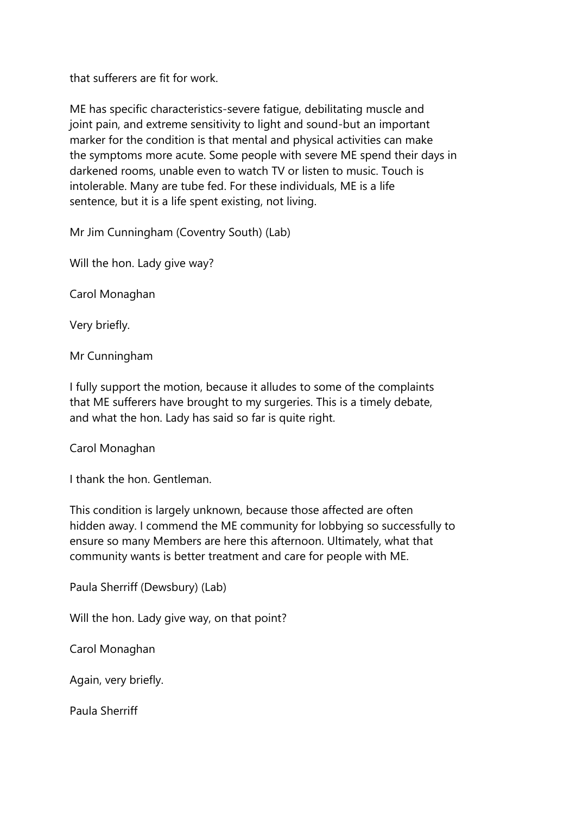that sufferers are fit for work.

ME has specific characteristics-severe fatigue, debilitating muscle and joint pain, and extreme sensitivity to light and sound-but an important marker for the condition is that mental and physical activities can make the symptoms more acute. Some people with severe ME spend their days in darkened rooms, unable even to watch TV or listen to music. Touch is intolerable. Many are tube fed. For these individuals, ME is a life sentence, but it is a life spent existing, not living.

Mr Jim Cunningham (Coventry South) (Lab)

Will the hon. Lady give way?

Carol Monaghan

Very briefly.

Mr Cunningham

I fully support the motion, because it alludes to some of the complaints that ME sufferers have brought to my surgeries. This is a timely debate, and what the hon. Lady has said so far is quite right.

Carol Monaghan

I thank the hon. Gentleman.

This condition is largely unknown, because those affected are often hidden away. I commend the ME community for lobbying so successfully to ensure so many Members are here this afternoon. Ultimately, what that community wants is better treatment and care for people with ME.

Paula Sherriff (Dewsbury) (Lab)

Will the hon. Lady give way, on that point?

Carol Monaghan

Again, very briefly.

Paula Sherriff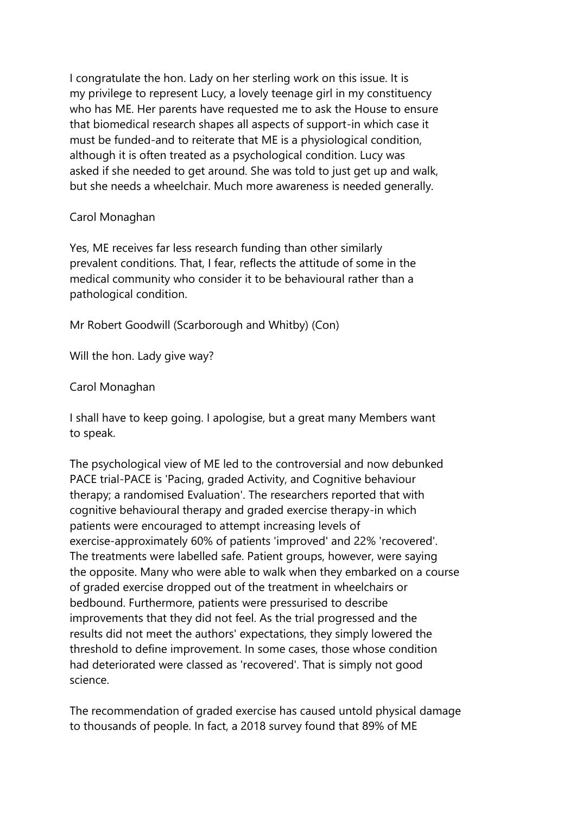I congratulate the hon. Lady on her sterling work on this issue. It is my privilege to represent Lucy, a lovely teenage girl in my constituency who has ME. Her parents have requested me to ask the House to ensure that biomedical research shapes all aspects of support-in which case it must be funded-and to reiterate that ME is a physiological condition, although it is often treated as a psychological condition. Lucy was asked if she needed to get around. She was told to just get up and walk, but she needs a wheelchair. Much more awareness is needed generally.

### Carol Monaghan

Yes, ME receives far less research funding than other similarly prevalent conditions. That, I fear, reflects the attitude of some in the medical community who consider it to be behavioural rather than a pathological condition.

Mr Robert Goodwill (Scarborough and Whitby) (Con)

Will the hon. Lady give way?

Carol Monaghan

I shall have to keep going. I apologise, but a great many Members want to speak.

The psychological view of ME led to the controversial and now debunked PACE trial-PACE is 'Pacing, graded Activity, and Cognitive behaviour therapy; a randomised Evaluation'. The researchers reported that with cognitive behavioural therapy and graded exercise therapy-in which patients were encouraged to attempt increasing levels of exercise-approximately 60% of patients 'improved' and 22% 'recovered'. The treatments were labelled safe. Patient groups, however, were saying the opposite. Many who were able to walk when they embarked on a course of graded exercise dropped out of the treatment in wheelchairs or bedbound. Furthermore, patients were pressurised to describe improvements that they did not feel. As the trial progressed and the results did not meet the authors' expectations, they simply lowered the threshold to define improvement. In some cases, those whose condition had deteriorated were classed as 'recovered'. That is simply not good science.

The recommendation of graded exercise has caused untold physical damage to thousands of people. In fact, a 2018 survey found that 89% of ME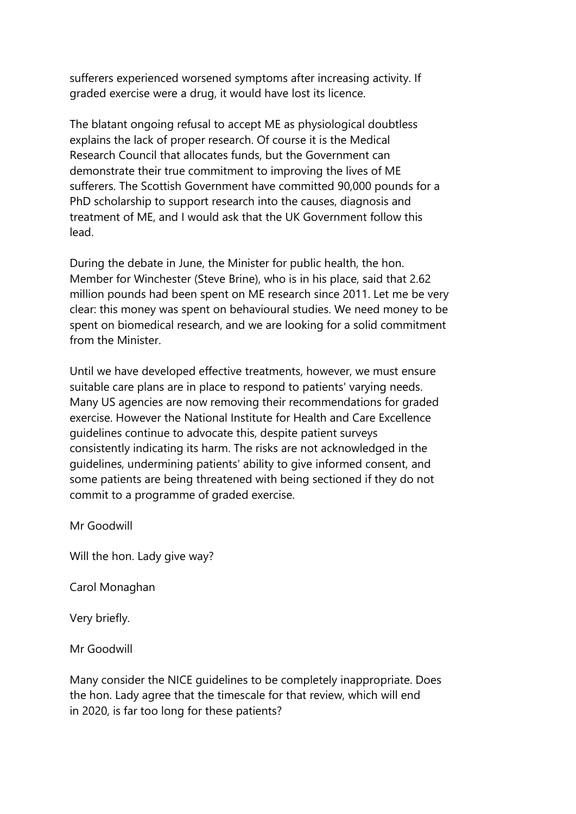sufferers experienced worsened symptoms after increasing activity. If graded exercise were a drug, it would have lost its licence.

The blatant ongoing refusal to accept ME as physiological doubtless explains the lack of proper research. Of course it is the Medical Research Council that allocates funds, but the Government can demonstrate their true commitment to improving the lives of ME sufferers. The Scottish Government have committed 90,000 pounds for a PhD scholarship to support research into the causes, diagnosis and treatment of ME, and I would ask that the UK Government follow this lead.

During the debate in June, the Minister for public health, the hon. Member for Winchester (Steve Brine), who is in his place, said that 2.62 million pounds had been spent on ME research since 2011. Let me be very clear: this money was spent on behavioural studies. We need money to be spent on biomedical research, and we are looking for a solid commitment from the Minister.

Until we have developed effective treatments, however, we must ensure suitable care plans are in place to respond to patients' varying needs. Many US agencies are now removing their recommendations for graded exercise. However the National Institute for Health and Care Excellence guidelines continue to advocate this, despite patient surveys consistently indicating its harm. The risks are not acknowledged in the guidelines, undermining patients' ability to give informed consent, and some patients are being threatened with being sectioned if they do not commit to a programme of graded exercise.

Mr Goodwill

Will the hon. Lady give way?

Carol Monaghan

Very briefly.

Mr Goodwill

Many consider the NICE guidelines to be completely inappropriate. Does the hon. Lady agree that the timescale for that review, which will end in 2020, is far too long for these patients?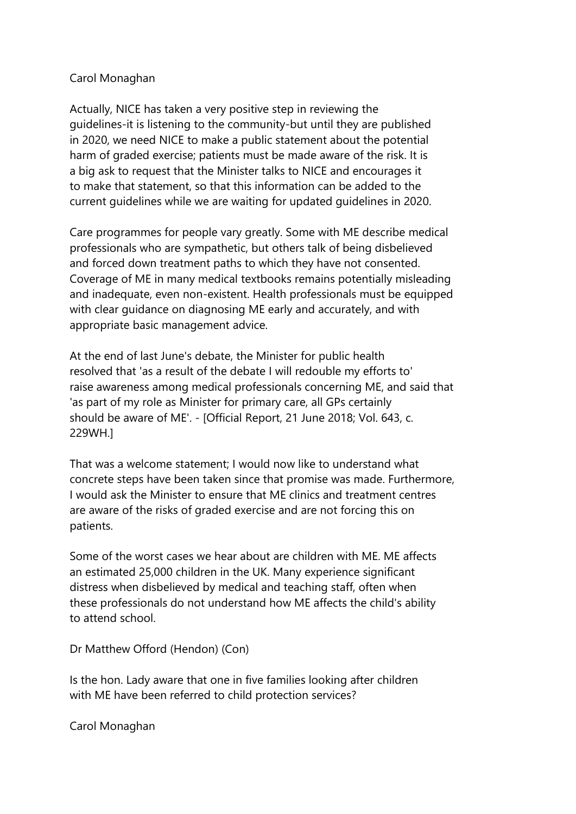### Carol Monaghan

Actually, NICE has taken a very positive step in reviewing the guidelines-it is listening to the community-but until they are published in 2020, we need NICE to make a public statement about the potential harm of graded exercise; patients must be made aware of the risk. It is a big ask to request that the Minister talks to NICE and encourages it to make that statement, so that this information can be added to the current guidelines while we are waiting for updated guidelines in 2020.

Care programmes for people vary greatly. Some with ME describe medical professionals who are sympathetic, but others talk of being disbelieved and forced down treatment paths to which they have not consented. Coverage of ME in many medical textbooks remains potentially misleading and inadequate, even non-existent. Health professionals must be equipped with clear guidance on diagnosing ME early and accurately, and with appropriate basic management advice.

At the end of last June's debate, the Minister for public health resolved that 'as a result of the debate I will redouble my efforts to' raise awareness among medical professionals concerning ME, and said that 'as part of my role as Minister for primary care, all GPs certainly should be aware of ME'. - [Official Report, 21 June 2018; Vol. 643, c. 229WH.]

That was a welcome statement; I would now like to understand what concrete steps have been taken since that promise was made. Furthermore, I would ask the Minister to ensure that ME clinics and treatment centres are aware of the risks of graded exercise and are not forcing this on patients.

Some of the worst cases we hear about are children with ME. ME affects an estimated 25,000 children in the UK. Many experience significant distress when disbelieved by medical and teaching staff, often when these professionals do not understand how ME affects the child's ability to attend school.

Dr Matthew Offord (Hendon) (Con)

Is the hon. Lady aware that one in five families looking after children with ME have been referred to child protection services?

Carol Monaghan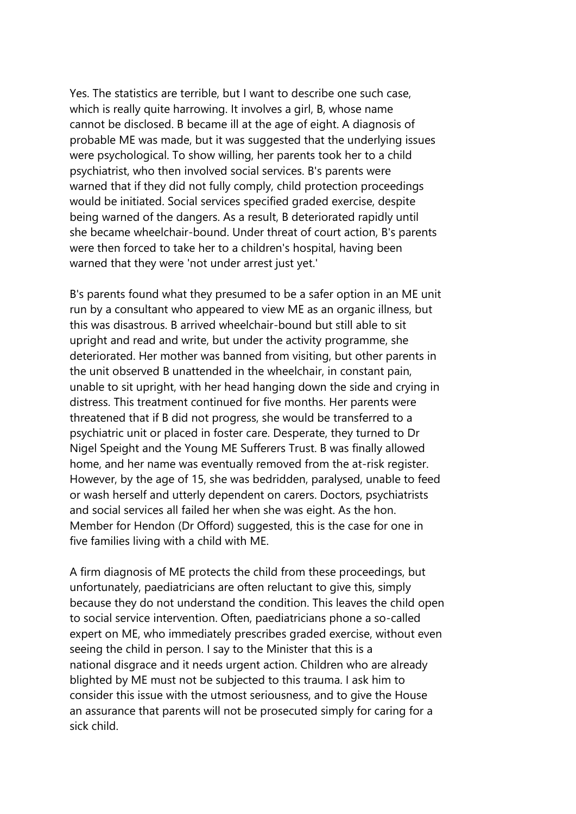Yes. The statistics are terrible, but I want to describe one such case, which is really quite harrowing. It involves a girl, B, whose name cannot be disclosed. B became ill at the age of eight. A diagnosis of probable ME was made, but it was suggested that the underlying issues were psychological. To show willing, her parents took her to a child psychiatrist, who then involved social services. B's parents were warned that if they did not fully comply, child protection proceedings would be initiated. Social services specified graded exercise, despite being warned of the dangers. As a result, B deteriorated rapidly until she became wheelchair-bound. Under threat of court action, B's parents were then forced to take her to a children's hospital, having been warned that they were 'not under arrest just yet.'

B's parents found what they presumed to be a safer option in an ME unit run by a consultant who appeared to view ME as an organic illness, but this was disastrous. B arrived wheelchair-bound but still able to sit upright and read and write, but under the activity programme, she deteriorated. Her mother was banned from visiting, but other parents in the unit observed B unattended in the wheelchair, in constant pain, unable to sit upright, with her head hanging down the side and crying in distress. This treatment continued for five months. Her parents were threatened that if B did not progress, she would be transferred to a psychiatric unit or placed in foster care. Desperate, they turned to Dr Nigel Speight and the Young ME Sufferers Trust. B was finally allowed home, and her name was eventually removed from the at-risk register. However, by the age of 15, she was bedridden, paralysed, unable to feed or wash herself and utterly dependent on carers. Doctors, psychiatrists and social services all failed her when she was eight. As the hon. Member for Hendon (Dr Offord) suggested, this is the case for one in five families living with a child with ME.

A firm diagnosis of ME protects the child from these proceedings, but unfortunately, paediatricians are often reluctant to give this, simply because they do not understand the condition. This leaves the child open to social service intervention. Often, paediatricians phone a so-called expert on ME, who immediately prescribes graded exercise, without even seeing the child in person. I say to the Minister that this is a national disgrace and it needs urgent action. Children who are already blighted by ME must not be subjected to this trauma. I ask him to consider this issue with the utmost seriousness, and to give the House an assurance that parents will not be prosecuted simply for caring for a sick child.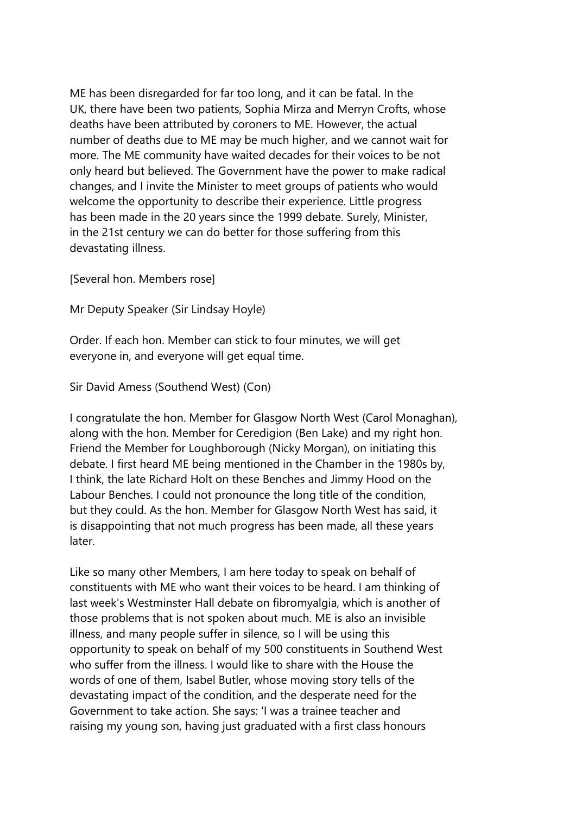ME has been disregarded for far too long, and it can be fatal. In the UK, there have been two patients, Sophia Mirza and Merryn Crofts, whose deaths have been attributed by coroners to ME. However, the actual number of deaths due to ME may be much higher, and we cannot wait for more. The ME community have waited decades for their voices to be not only heard but believed. The Government have the power to make radical changes, and I invite the Minister to meet groups of patients who would welcome the opportunity to describe their experience. Little progress has been made in the 20 years since the 1999 debate. Surely, Minister, in the 21st century we can do better for those suffering from this devastating illness.

[Several hon. Members rose]

Mr Deputy Speaker (Sir Lindsay Hoyle)

Order. If each hon. Member can stick to four minutes, we will get everyone in, and everyone will get equal time.

Sir David Amess (Southend West) (Con)

I congratulate the hon. Member for Glasgow North West (Carol Monaghan), along with the hon. Member for Ceredigion (Ben Lake) and my right hon. Friend the Member for Loughborough (Nicky Morgan), on initiating this debate. I first heard ME being mentioned in the Chamber in the 1980s by, I think, the late Richard Holt on these Benches and Jimmy Hood on the Labour Benches. I could not pronounce the long title of the condition, but they could. As the hon. Member for Glasgow North West has said, it is disappointing that not much progress has been made, all these years later.

Like so many other Members, I am here today to speak on behalf of constituents with ME who want their voices to be heard. I am thinking of last week's Westminster Hall debate on fibromyalgia, which is another of those problems that is not spoken about much. ME is also an invisible illness, and many people suffer in silence, so I will be using this opportunity to speak on behalf of my 500 constituents in Southend West who suffer from the illness. I would like to share with the House the words of one of them, Isabel Butler, whose moving story tells of the devastating impact of the condition, and the desperate need for the Government to take action. She says: 'I was a trainee teacher and raising my young son, having just graduated with a first class honours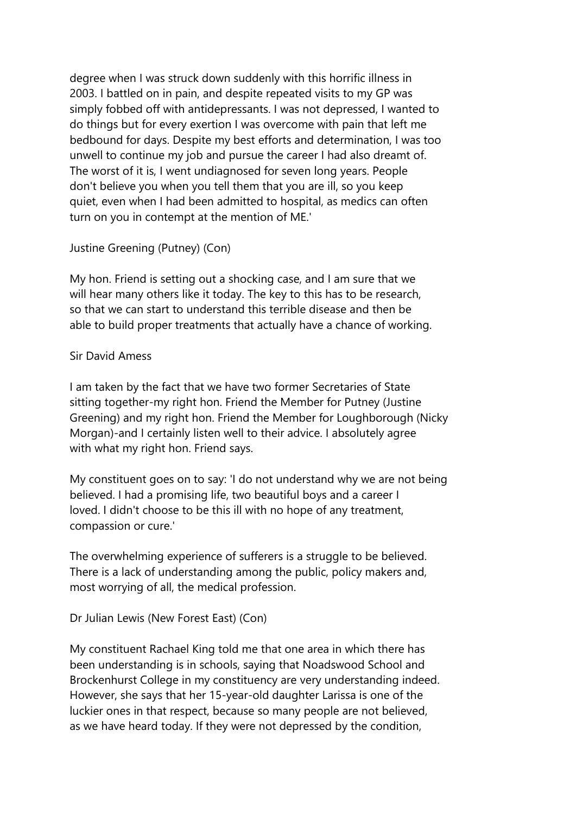degree when I was struck down suddenly with this horrific illness in 2003. I battled on in pain, and despite repeated visits to my GP was simply fobbed off with antidepressants. I was not depressed, I wanted to do things but for every exertion I was overcome with pain that left me bedbound for days. Despite my best efforts and determination, I was too unwell to continue my job and pursue the career I had also dreamt of. The worst of it is, I went undiagnosed for seven long years. People don't believe you when you tell them that you are ill, so you keep quiet, even when I had been admitted to hospital, as medics can often turn on you in contempt at the mention of ME.'

### Justine Greening (Putney) (Con)

My hon. Friend is setting out a shocking case, and I am sure that we will hear many others like it today. The key to this has to be research, so that we can start to understand this terrible disease and then be able to build proper treatments that actually have a chance of working.

### Sir David Amess

I am taken by the fact that we have two former Secretaries of State sitting together-my right hon. Friend the Member for Putney (Justine Greening) and my right hon. Friend the Member for Loughborough (Nicky Morgan)-and I certainly listen well to their advice. I absolutely agree with what my right hon. Friend says.

My constituent goes on to say: 'I do not understand why we are not being believed. I had a promising life, two beautiful boys and a career I loved. I didn't choose to be this ill with no hope of any treatment, compassion or cure.'

The overwhelming experience of sufferers is a struggle to be believed. There is a lack of understanding among the public, policy makers and, most worrying of all, the medical profession.

Dr Julian Lewis (New Forest East) (Con)

My constituent Rachael King told me that one area in which there has been understanding is in schools, saying that Noadswood School and Brockenhurst College in my constituency are very understanding indeed. However, she says that her 15-year-old daughter Larissa is one of the luckier ones in that respect, because so many people are not believed, as we have heard today. If they were not depressed by the condition,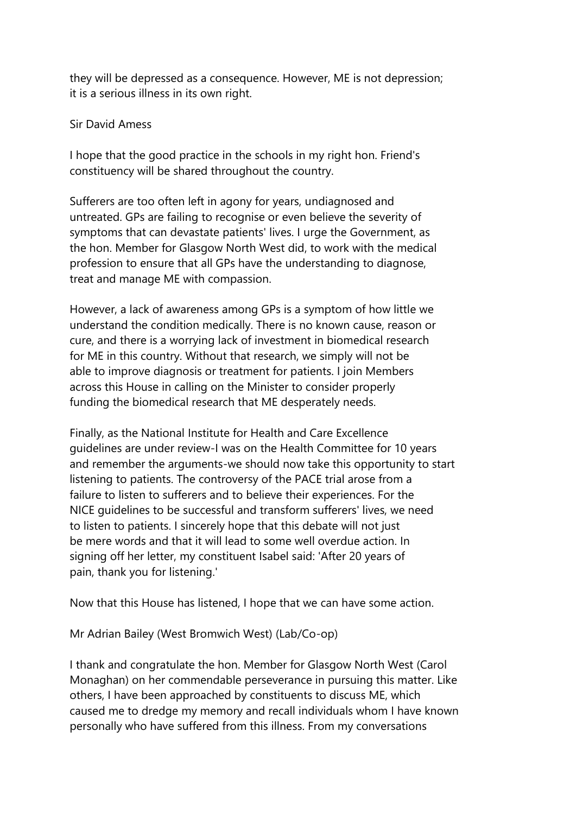they will be depressed as a consequence. However, ME is not depression; it is a serious illness in its own right.

### Sir David Amess

I hope that the good practice in the schools in my right hon. Friend's constituency will be shared throughout the country.

Sufferers are too often left in agony for years, undiagnosed and untreated. GPs are failing to recognise or even believe the severity of symptoms that can devastate patients' lives. I urge the Government, as the hon. Member for Glasgow North West did, to work with the medical profession to ensure that all GPs have the understanding to diagnose, treat and manage ME with compassion.

However, a lack of awareness among GPs is a symptom of how little we understand the condition medically. There is no known cause, reason or cure, and there is a worrying lack of investment in biomedical research for ME in this country. Without that research, we simply will not be able to improve diagnosis or treatment for patients. I join Members across this House in calling on the Minister to consider properly funding the biomedical research that ME desperately needs.

Finally, as the National Institute for Health and Care Excellence guidelines are under review-I was on the Health Committee for 10 years and remember the arguments-we should now take this opportunity to start listening to patients. The controversy of the PACE trial arose from a failure to listen to sufferers and to believe their experiences. For the NICE guidelines to be successful and transform sufferers' lives, we need to listen to patients. I sincerely hope that this debate will not just be mere words and that it will lead to some well overdue action. In signing off her letter, my constituent Isabel said: 'After 20 years of pain, thank you for listening.'

Now that this House has listened, I hope that we can have some action.

Mr Adrian Bailey (West Bromwich West) (Lab/Co-op)

I thank and congratulate the hon. Member for Glasgow North West (Carol Monaghan) on her commendable perseverance in pursuing this matter. Like others, I have been approached by constituents to discuss ME, which caused me to dredge my memory and recall individuals whom I have known personally who have suffered from this illness. From my conversations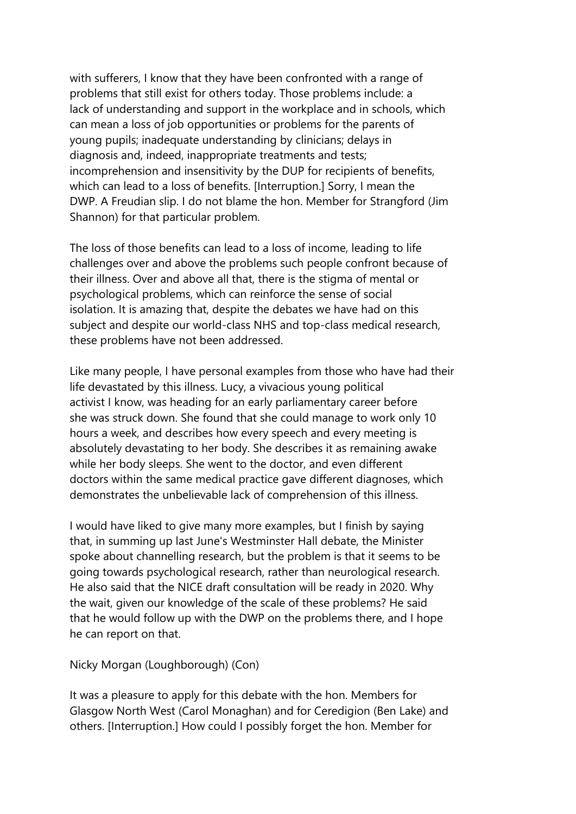with sufferers, I know that they have been confronted with a range of problems that still exist for others today. Those problems include: a lack of understanding and support in the workplace and in schools, which can mean a loss of job opportunities or problems for the parents of young pupils; inadequate understanding by clinicians; delays in diagnosis and, indeed, inappropriate treatments and tests; incomprehension and insensitivity by the DUP for recipients of benefits, which can lead to a loss of benefits. [Interruption.] Sorry, I mean the DWP. A Freudian slip. I do not blame the hon. Member for Strangford (Jim Shannon) for that particular problem.

The loss of those benefits can lead to a loss of income, leading to life challenges over and above the problems such people confront because of their illness. Over and above all that, there is the stigma of mental or psychological problems, which can reinforce the sense of social isolation. It is amazing that, despite the debates we have had on this subject and despite our world-class NHS and top-class medical research, these problems have not been addressed.

Like many people, I have personal examples from those who have had their life devastated by this illness. Lucy, a vivacious young political activist I know, was heading for an early parliamentary career before she was struck down. She found that she could manage to work only 10 hours a week, and describes how every speech and every meeting is absolutely devastating to her body. She describes it as remaining awake while her body sleeps. She went to the doctor, and even different doctors within the same medical practice gave different diagnoses, which demonstrates the unbelievable lack of comprehension of this illness.

I would have liked to give many more examples, but I finish by saying that, in summing up last June's Westminster Hall debate, the Minister spoke about channelling research, but the problem is that it seems to be going towards psychological research, rather than neurological research. He also said that the NICE draft consultation will be ready in 2020. Why the wait, given our knowledge of the scale of these problems? He said that he would follow up with the DWP on the problems there, and I hope he can report on that.

Nicky Morgan (Loughborough) (Con)

It was a pleasure to apply for this debate with the hon. Members for Glasgow North West (Carol Monaghan) and for Ceredigion (Ben Lake) and others. [Interruption.] How could I possibly forget the hon. Member for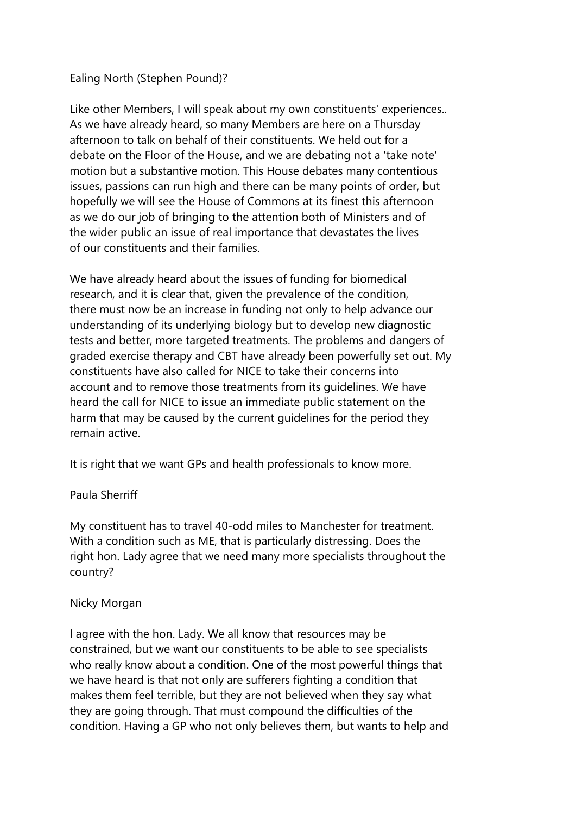### Ealing North (Stephen Pound)?

Like other Members, I will speak about my own constituents' experiences.. As we have already heard, so many Members are here on a Thursday afternoon to talk on behalf of their constituents. We held out for a debate on the Floor of the House, and we are debating not a 'take note' motion but a substantive motion. This House debates many contentious issues, passions can run high and there can be many points of order, but hopefully we will see the House of Commons at its finest this afternoon as we do our job of bringing to the attention both of Ministers and of the wider public an issue of real importance that devastates the lives of our constituents and their families.

We have already heard about the issues of funding for biomedical research, and it is clear that, given the prevalence of the condition, there must now be an increase in funding not only to help advance our understanding of its underlying biology but to develop new diagnostic tests and better, more targeted treatments. The problems and dangers of graded exercise therapy and CBT have already been powerfully set out. My constituents have also called for NICE to take their concerns into account and to remove those treatments from its guidelines. We have heard the call for NICE to issue an immediate public statement on the harm that may be caused by the current guidelines for the period they remain active.

It is right that we want GPs and health professionals to know more.

## Paula Sherriff

My constituent has to travel 40-odd miles to Manchester for treatment. With a condition such as ME, that is particularly distressing. Does the right hon. Lady agree that we need many more specialists throughout the country?

## Nicky Morgan

I agree with the hon. Lady. We all know that resources may be constrained, but we want our constituents to be able to see specialists who really know about a condition. One of the most powerful things that we have heard is that not only are sufferers fighting a condition that makes them feel terrible, but they are not believed when they say what they are going through. That must compound the difficulties of the condition. Having a GP who not only believes them, but wants to help and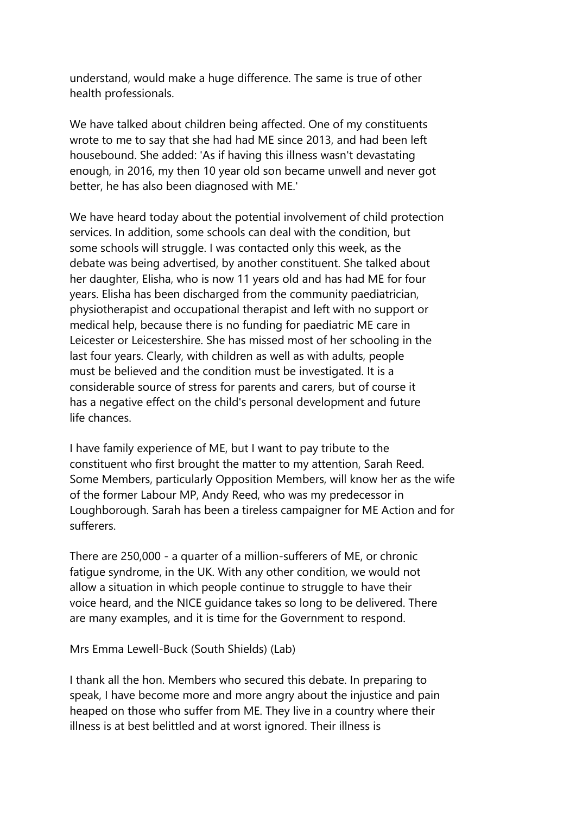understand, would make a huge difference. The same is true of other health professionals.

We have talked about children being affected. One of my constituents wrote to me to say that she had had ME since 2013, and had been left housebound. She added: 'As if having this illness wasn't devastating enough, in 2016, my then 10 year old son became unwell and never got better, he has also been diagnosed with ME.'

We have heard today about the potential involvement of child protection services. In addition, some schools can deal with the condition, but some schools will struggle. I was contacted only this week, as the debate was being advertised, by another constituent. She talked about her daughter, Elisha, who is now 11 years old and has had ME for four years. Elisha has been discharged from the community paediatrician, physiotherapist and occupational therapist and left with no support or medical help, because there is no funding for paediatric ME care in Leicester or Leicestershire. She has missed most of her schooling in the last four years. Clearly, with children as well as with adults, people must be believed and the condition must be investigated. It is a considerable source of stress for parents and carers, but of course it has a negative effect on the child's personal development and future life chances.

I have family experience of ME, but I want to pay tribute to the constituent who first brought the matter to my attention, Sarah Reed. Some Members, particularly Opposition Members, will know her as the wife of the former Labour MP, Andy Reed, who was my predecessor in Loughborough. Sarah has been a tireless campaigner for ME Action and for sufferers.

There are 250,000 - a quarter of a million-sufferers of ME, or chronic fatigue syndrome, in the UK. With any other condition, we would not allow a situation in which people continue to struggle to have their voice heard, and the NICE guidance takes so long to be delivered. There are many examples, and it is time for the Government to respond.

Mrs Emma Lewell-Buck (South Shields) (Lab)

I thank all the hon. Members who secured this debate. In preparing to speak, I have become more and more angry about the injustice and pain heaped on those who suffer from ME. They live in a country where their illness is at best belittled and at worst ignored. Their illness is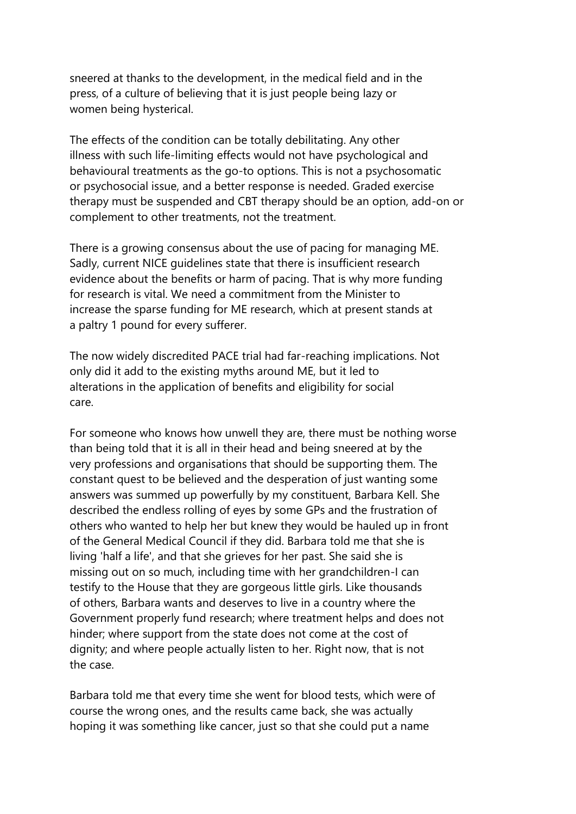sneered at thanks to the development, in the medical field and in the press, of a culture of believing that it is just people being lazy or women being hysterical.

The effects of the condition can be totally debilitating. Any other illness with such life-limiting effects would not have psychological and behavioural treatments as the go-to options. This is not a psychosomatic or psychosocial issue, and a better response is needed. Graded exercise therapy must be suspended and CBT therapy should be an option, add-on or complement to other treatments, not the treatment.

There is a growing consensus about the use of pacing for managing ME. Sadly, current NICE guidelines state that there is insufficient research evidence about the benefits or harm of pacing. That is why more funding for research is vital. We need a commitment from the Minister to increase the sparse funding for ME research, which at present stands at a paltry 1 pound for every sufferer.

The now widely discredited PACE trial had far-reaching implications. Not only did it add to the existing myths around ME, but it led to alterations in the application of benefits and eligibility for social care.

For someone who knows how unwell they are, there must be nothing worse than being told that it is all in their head and being sneered at by the very professions and organisations that should be supporting them. The constant quest to be believed and the desperation of just wanting some answers was summed up powerfully by my constituent, Barbara Kell. She described the endless rolling of eyes by some GPs and the frustration of others who wanted to help her but knew they would be hauled up in front of the General Medical Council if they did. Barbara told me that she is living 'half a life', and that she grieves for her past. She said she is missing out on so much, including time with her grandchildren-I can testify to the House that they are gorgeous little girls. Like thousands of others, Barbara wants and deserves to live in a country where the Government properly fund research; where treatment helps and does not hinder; where support from the state does not come at the cost of dignity; and where people actually listen to her. Right now, that is not the case.

Barbara told me that every time she went for blood tests, which were of course the wrong ones, and the results came back, she was actually hoping it was something like cancer, just so that she could put a name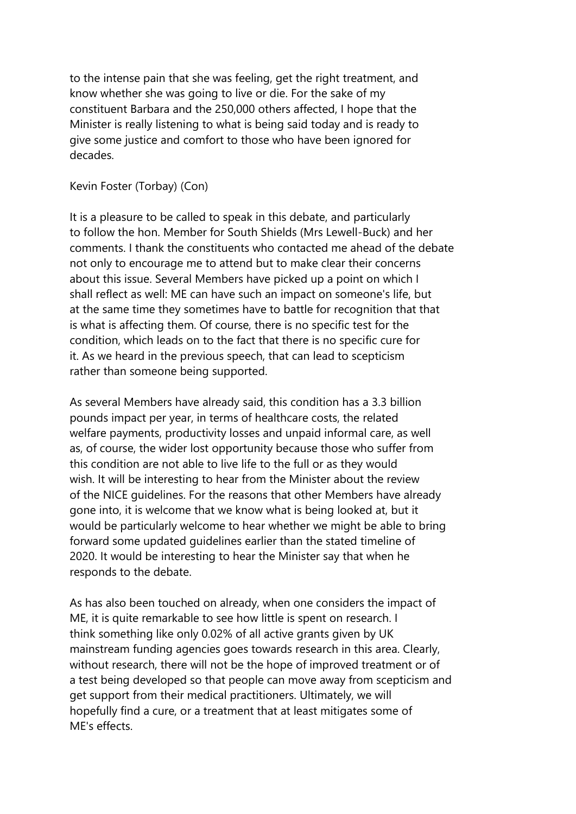to the intense pain that she was feeling, get the right treatment, and know whether she was going to live or die. For the sake of my constituent Barbara and the 250,000 others affected, I hope that the Minister is really listening to what is being said today and is ready to give some justice and comfort to those who have been ignored for decades.

## Kevin Foster (Torbay) (Con)

It is a pleasure to be called to speak in this debate, and particularly to follow the hon. Member for South Shields (Mrs Lewell-Buck) and her comments. I thank the constituents who contacted me ahead of the debate not only to encourage me to attend but to make clear their concerns about this issue. Several Members have picked up a point on which I shall reflect as well: ME can have such an impact on someone's life, but at the same time they sometimes have to battle for recognition that that is what is affecting them. Of course, there is no specific test for the condition, which leads on to the fact that there is no specific cure for it. As we heard in the previous speech, that can lead to scepticism rather than someone being supported.

As several Members have already said, this condition has a 3.3 billion pounds impact per year, in terms of healthcare costs, the related welfare payments, productivity losses and unpaid informal care, as well as, of course, the wider lost opportunity because those who suffer from this condition are not able to live life to the full or as they would wish. It will be interesting to hear from the Minister about the review of the NICE guidelines. For the reasons that other Members have already gone into, it is welcome that we know what is being looked at, but it would be particularly welcome to hear whether we might be able to bring forward some updated guidelines earlier than the stated timeline of 2020. It would be interesting to hear the Minister say that when he responds to the debate.

As has also been touched on already, when one considers the impact of ME, it is quite remarkable to see how little is spent on research. I think something like only 0.02% of all active grants given by UK mainstream funding agencies goes towards research in this area. Clearly, without research, there will not be the hope of improved treatment or of a test being developed so that people can move away from scepticism and get support from their medical practitioners. Ultimately, we will hopefully find a cure, or a treatment that at least mitigates some of ME's effects.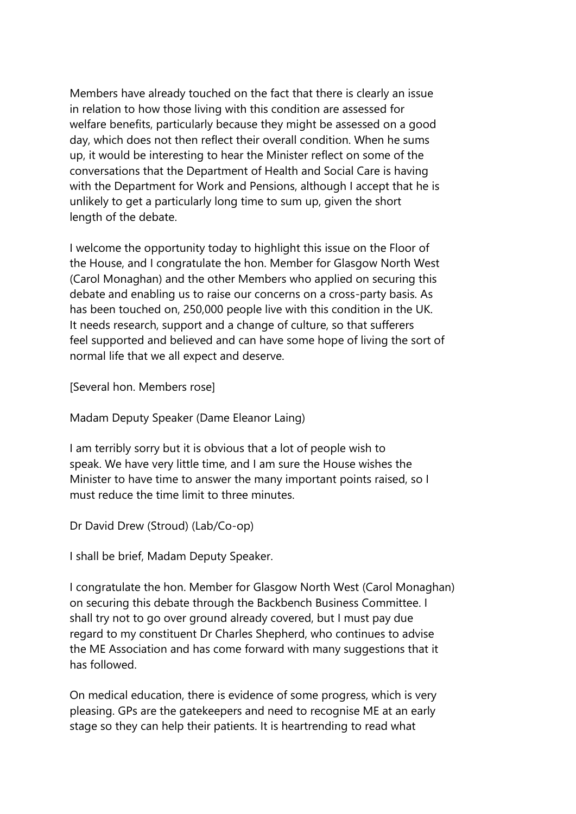Members have already touched on the fact that there is clearly an issue in relation to how those living with this condition are assessed for welfare benefits, particularly because they might be assessed on a good day, which does not then reflect their overall condition. When he sums up, it would be interesting to hear the Minister reflect on some of the conversations that the Department of Health and Social Care is having with the Department for Work and Pensions, although I accept that he is unlikely to get a particularly long time to sum up, given the short length of the debate.

I welcome the opportunity today to highlight this issue on the Floor of the House, and I congratulate the hon. Member for Glasgow North West (Carol Monaghan) and the other Members who applied on securing this debate and enabling us to raise our concerns on a cross-party basis. As has been touched on, 250,000 people live with this condition in the UK. It needs research, support and a change of culture, so that sufferers feel supported and believed and can have some hope of living the sort of normal life that we all expect and deserve.

[Several hon. Members rose]

Madam Deputy Speaker (Dame Eleanor Laing)

I am terribly sorry but it is obvious that a lot of people wish to speak. We have very little time, and I am sure the House wishes the Minister to have time to answer the many important points raised, so I must reduce the time limit to three minutes.

Dr David Drew (Stroud) (Lab/Co-op)

I shall be brief, Madam Deputy Speaker.

I congratulate the hon. Member for Glasgow North West (Carol Monaghan) on securing this debate through the Backbench Business Committee. I shall try not to go over ground already covered, but I must pay due regard to my constituent Dr Charles Shepherd, who continues to advise the ME Association and has come forward with many suggestions that it has followed.

On medical education, there is evidence of some progress, which is very pleasing. GPs are the gatekeepers and need to recognise ME at an early stage so they can help their patients. It is heartrending to read what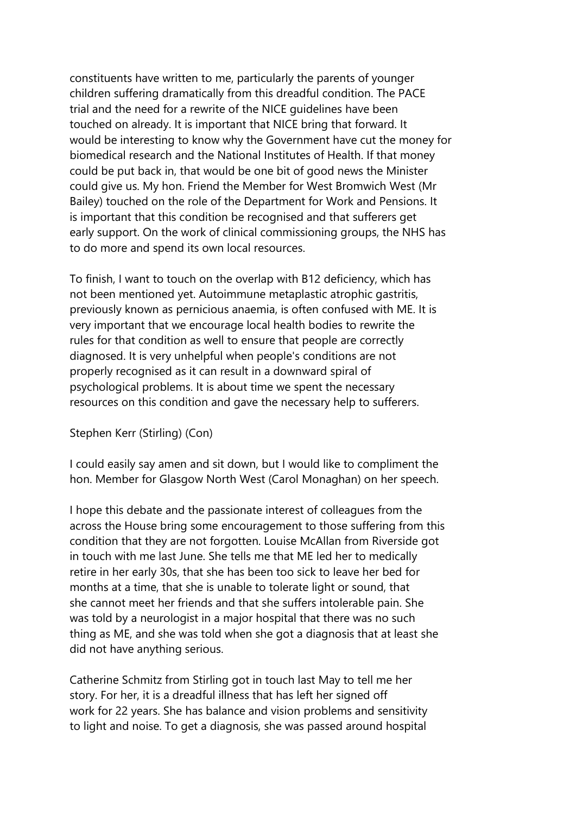constituents have written to me, particularly the parents of younger children suffering dramatically from this dreadful condition. The PACE trial and the need for a rewrite of the NICE guidelines have been touched on already. It is important that NICE bring that forward. It would be interesting to know why the Government have cut the money for biomedical research and the National Institutes of Health. If that money could be put back in, that would be one bit of good news the Minister could give us. My hon. Friend the Member for West Bromwich West (Mr Bailey) touched on the role of the Department for Work and Pensions. It is important that this condition be recognised and that sufferers get early support. On the work of clinical commissioning groups, the NHS has to do more and spend its own local resources.

To finish, I want to touch on the overlap with B12 deficiency, which has not been mentioned yet. Autoimmune metaplastic atrophic gastritis, previously known as pernicious anaemia, is often confused with ME. It is very important that we encourage local health bodies to rewrite the rules for that condition as well to ensure that people are correctly diagnosed. It is very unhelpful when people's conditions are not properly recognised as it can result in a downward spiral of psychological problems. It is about time we spent the necessary resources on this condition and gave the necessary help to sufferers.

#### Stephen Kerr (Stirling) (Con)

I could easily say amen and sit down, but I would like to compliment the hon. Member for Glasgow North West (Carol Monaghan) on her speech.

I hope this debate and the passionate interest of colleagues from the across the House bring some encouragement to those suffering from this condition that they are not forgotten. Louise McAllan from Riverside got in touch with me last June. She tells me that ME led her to medically retire in her early 30s, that she has been too sick to leave her bed for months at a time, that she is unable to tolerate light or sound, that she cannot meet her friends and that she suffers intolerable pain. She was told by a neurologist in a major hospital that there was no such thing as ME, and she was told when she got a diagnosis that at least she did not have anything serious.

Catherine Schmitz from Stirling got in touch last May to tell me her story. For her, it is a dreadful illness that has left her signed off work for 22 years. She has balance and vision problems and sensitivity to light and noise. To get a diagnosis, she was passed around hospital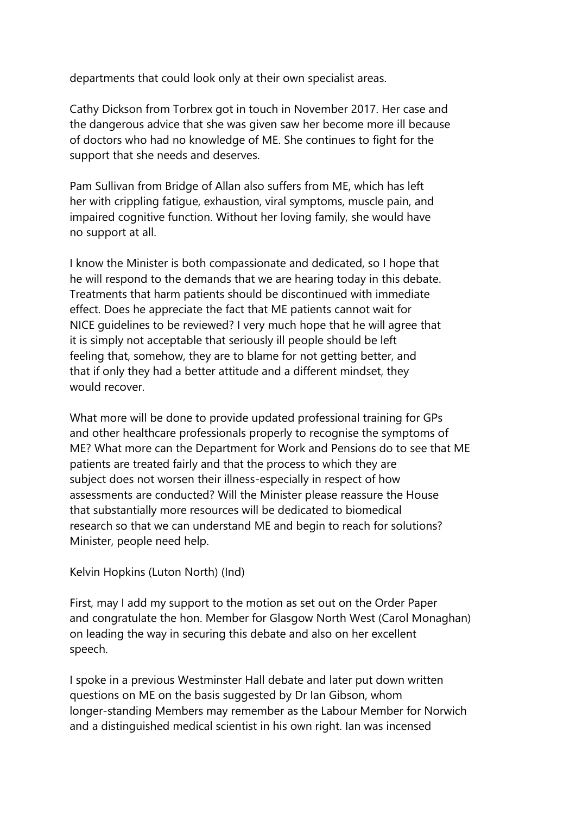departments that could look only at their own specialist areas.

Cathy Dickson from Torbrex got in touch in November 2017. Her case and the dangerous advice that she was given saw her become more ill because of doctors who had no knowledge of ME. She continues to fight for the support that she needs and deserves.

Pam Sullivan from Bridge of Allan also suffers from ME, which has left her with crippling fatigue, exhaustion, viral symptoms, muscle pain, and impaired cognitive function. Without her loving family, she would have no support at all.

I know the Minister is both compassionate and dedicated, so I hope that he will respond to the demands that we are hearing today in this debate. Treatments that harm patients should be discontinued with immediate effect. Does he appreciate the fact that ME patients cannot wait for NICE guidelines to be reviewed? I very much hope that he will agree that it is simply not acceptable that seriously ill people should be left feeling that, somehow, they are to blame for not getting better, and that if only they had a better attitude and a different mindset, they would recover.

What more will be done to provide updated professional training for GPs and other healthcare professionals properly to recognise the symptoms of ME? What more can the Department for Work and Pensions do to see that ME patients are treated fairly and that the process to which they are subject does not worsen their illness-especially in respect of how assessments are conducted? Will the Minister please reassure the House that substantially more resources will be dedicated to biomedical research so that we can understand ME and begin to reach for solutions? Minister, people need help.

Kelvin Hopkins (Luton North) (Ind)

First, may I add my support to the motion as set out on the Order Paper and congratulate the hon. Member for Glasgow North West (Carol Monaghan) on leading the way in securing this debate and also on her excellent speech.

I spoke in a previous Westminster Hall debate and later put down written questions on ME on the basis suggested by Dr Ian Gibson, whom longer-standing Members may remember as the Labour Member for Norwich and a distinguished medical scientist in his own right. Ian was incensed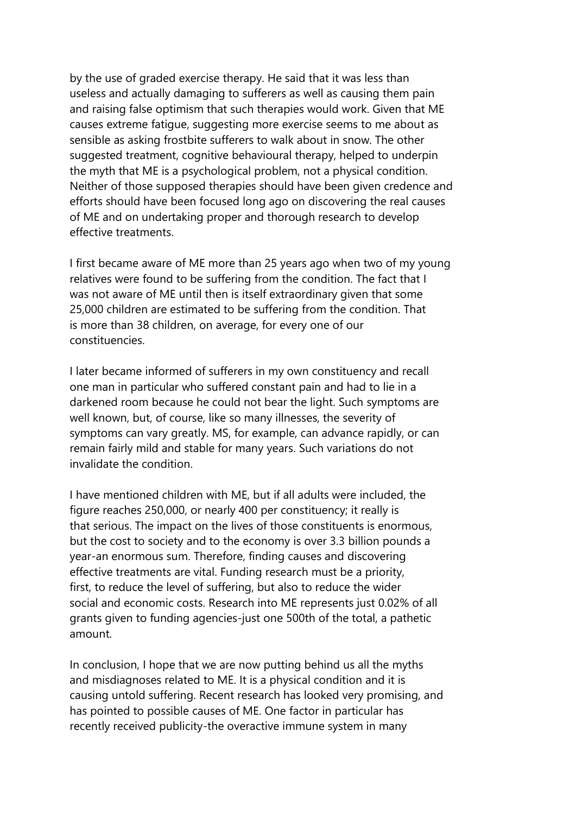by the use of graded exercise therapy. He said that it was less than useless and actually damaging to sufferers as well as causing them pain and raising false optimism that such therapies would work. Given that ME causes extreme fatigue, suggesting more exercise seems to me about as sensible as asking frostbite sufferers to walk about in snow. The other suggested treatment, cognitive behavioural therapy, helped to underpin the myth that ME is a psychological problem, not a physical condition. Neither of those supposed therapies should have been given credence and efforts should have been focused long ago on discovering the real causes of ME and on undertaking proper and thorough research to develop effective treatments.

I first became aware of ME more than 25 years ago when two of my young relatives were found to be suffering from the condition. The fact that I was not aware of ME until then is itself extraordinary given that some 25,000 children are estimated to be suffering from the condition. That is more than 38 children, on average, for every one of our constituencies.

I later became informed of sufferers in my own constituency and recall one man in particular who suffered constant pain and had to lie in a darkened room because he could not bear the light. Such symptoms are well known, but, of course, like so many illnesses, the severity of symptoms can vary greatly. MS, for example, can advance rapidly, or can remain fairly mild and stable for many years. Such variations do not invalidate the condition.

I have mentioned children with ME, but if all adults were included, the figure reaches 250,000, or nearly 400 per constituency; it really is that serious. The impact on the lives of those constituents is enormous, but the cost to society and to the economy is over 3.3 billion pounds a year-an enormous sum. Therefore, finding causes and discovering effective treatments are vital. Funding research must be a priority, first, to reduce the level of suffering, but also to reduce the wider social and economic costs. Research into ME represents just 0.02% of all grants given to funding agencies-just one 500th of the total, a pathetic amount.

In conclusion, I hope that we are now putting behind us all the myths and misdiagnoses related to ME. It is a physical condition and it is causing untold suffering. Recent research has looked very promising, and has pointed to possible causes of ME. One factor in particular has recently received publicity-the overactive immune system in many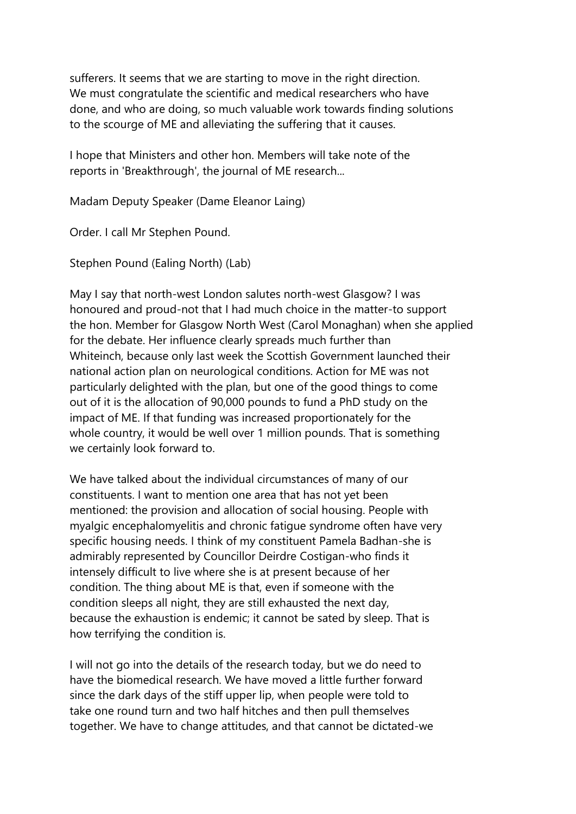sufferers. It seems that we are starting to move in the right direction. We must congratulate the scientific and medical researchers who have done, and who are doing, so much valuable work towards finding solutions to the scourge of ME and alleviating the suffering that it causes.

I hope that Ministers and other hon. Members will take note of the reports in 'Breakthrough', the journal of ME research...

Madam Deputy Speaker (Dame Eleanor Laing)

Order. I call Mr Stephen Pound.

Stephen Pound (Ealing North) (Lab)

May I say that north-west London salutes north-west Glasgow? I was honoured and proud-not that I had much choice in the matter-to support the hon. Member for Glasgow North West (Carol Monaghan) when she applied for the debate. Her influence clearly spreads much further than Whiteinch, because only last week the Scottish Government launched their national action plan on neurological conditions. Action for ME was not particularly delighted with the plan, but one of the good things to come out of it is the allocation of 90,000 pounds to fund a PhD study on the impact of ME. If that funding was increased proportionately for the whole country, it would be well over 1 million pounds. That is something we certainly look forward to.

We have talked about the individual circumstances of many of our constituents. I want to mention one area that has not yet been mentioned: the provision and allocation of social housing. People with myalgic encephalomyelitis and chronic fatigue syndrome often have very specific housing needs. I think of my constituent Pamela Badhan-she is admirably represented by Councillor Deirdre Costigan-who finds it intensely difficult to live where she is at present because of her condition. The thing about ME is that, even if someone with the condition sleeps all night, they are still exhausted the next day, because the exhaustion is endemic; it cannot be sated by sleep. That is how terrifying the condition is.

I will not go into the details of the research today, but we do need to have the biomedical research. We have moved a little further forward since the dark days of the stiff upper lip, when people were told to take one round turn and two half hitches and then pull themselves together. We have to change attitudes, and that cannot be dictated-we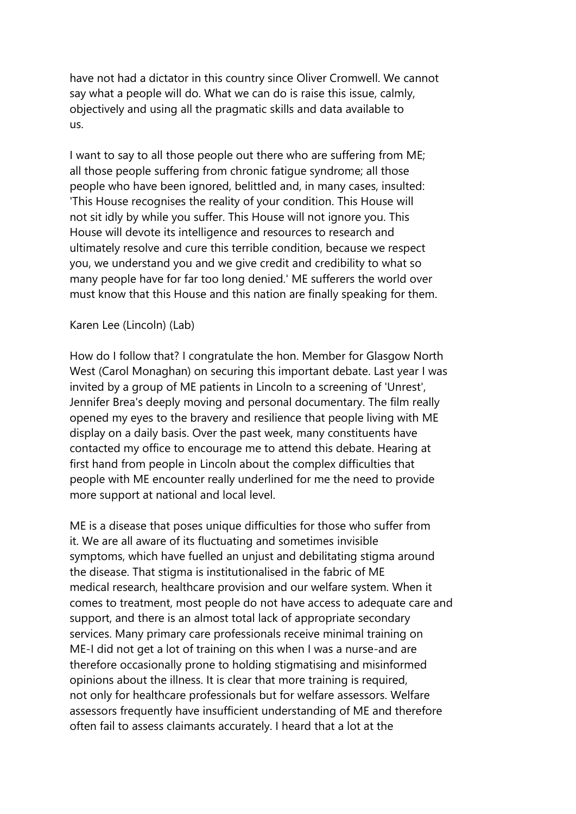have not had a dictator in this country since Oliver Cromwell. We cannot say what a people will do. What we can do is raise this issue, calmly, objectively and using all the pragmatic skills and data available to us.

I want to say to all those people out there who are suffering from ME; all those people suffering from chronic fatigue syndrome; all those people who have been ignored, belittled and, in many cases, insulted: 'This House recognises the reality of your condition. This House will not sit idly by while you suffer. This House will not ignore you. This House will devote its intelligence and resources to research and ultimately resolve and cure this terrible condition, because we respect you, we understand you and we give credit and credibility to what so many people have for far too long denied.' ME sufferers the world over must know that this House and this nation are finally speaking for them.

#### Karen Lee (Lincoln) (Lab)

How do I follow that? I congratulate the hon. Member for Glasgow North West (Carol Monaghan) on securing this important debate. Last year I was invited by a group of ME patients in Lincoln to a screening of 'Unrest', Jennifer Brea's deeply moving and personal documentary. The film really opened my eyes to the bravery and resilience that people living with ME display on a daily basis. Over the past week, many constituents have contacted my office to encourage me to attend this debate. Hearing at first hand from people in Lincoln about the complex difficulties that people with ME encounter really underlined for me the need to provide more support at national and local level.

ME is a disease that poses unique difficulties for those who suffer from it. We are all aware of its fluctuating and sometimes invisible symptoms, which have fuelled an uniust and debilitating stigma around the disease. That stigma is institutionalised in the fabric of ME medical research, healthcare provision and our welfare system. When it comes to treatment, most people do not have access to adequate care and support, and there is an almost total lack of appropriate secondary services. Many primary care professionals receive minimal training on ME-I did not get a lot of training on this when I was a nurse-and are therefore occasionally prone to holding stigmatising and misinformed opinions about the illness. It is clear that more training is required, not only for healthcare professionals but for welfare assessors. Welfare assessors frequently have insufficient understanding of ME and therefore often fail to assess claimants accurately. I heard that a lot at the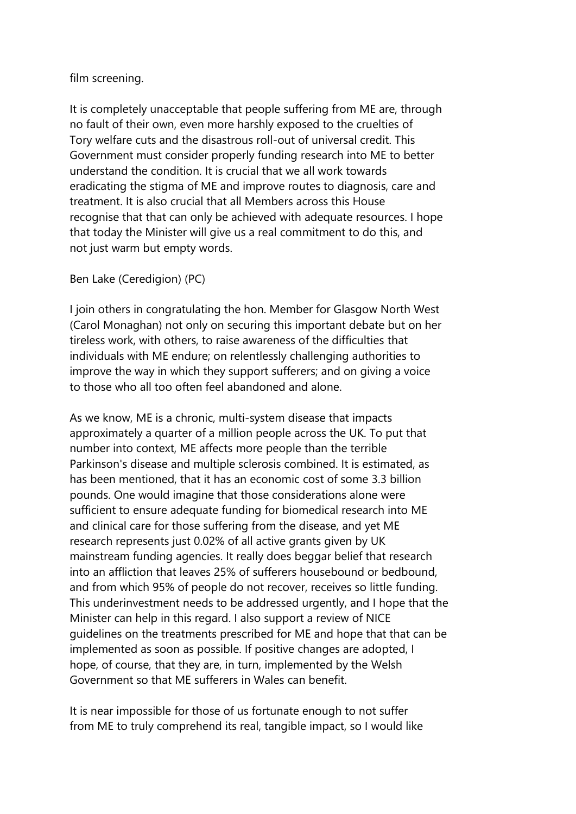### film screening.

It is completely unacceptable that people suffering from ME are, through no fault of their own, even more harshly exposed to the cruelties of Tory welfare cuts and the disastrous roll-out of universal credit. This Government must consider properly funding research into ME to better understand the condition. It is crucial that we all work towards eradicating the stigma of ME and improve routes to diagnosis, care and treatment. It is also crucial that all Members across this House recognise that that can only be achieved with adequate resources. I hope that today the Minister will give us a real commitment to do this, and not just warm but empty words.

## Ben Lake (Ceredigion) (PC)

I join others in congratulating the hon. Member for Glasgow North West (Carol Monaghan) not only on securing this important debate but on her tireless work, with others, to raise awareness of the difficulties that individuals with ME endure; on relentlessly challenging authorities to improve the way in which they support sufferers; and on giving a voice to those who all too often feel abandoned and alone.

As we know, ME is a chronic, multi-system disease that impacts approximately a quarter of a million people across the UK. To put that number into context, ME affects more people than the terrible Parkinson's disease and multiple sclerosis combined. It is estimated, as has been mentioned, that it has an economic cost of some 3.3 billion pounds. One would imagine that those considerations alone were sufficient to ensure adequate funding for biomedical research into ME and clinical care for those suffering from the disease, and yet ME research represents just 0.02% of all active grants given by UK mainstream funding agencies. It really does beggar belief that research into an affliction that leaves 25% of sufferers housebound or bedbound, and from which 95% of people do not recover, receives so little funding. This underinvestment needs to be addressed urgently, and I hope that the Minister can help in this regard. I also support a review of NICE guidelines on the treatments prescribed for ME and hope that that can be implemented as soon as possible. If positive changes are adopted, I hope, of course, that they are, in turn, implemented by the Welsh Government so that ME sufferers in Wales can benefit.

It is near impossible for those of us fortunate enough to not suffer from ME to truly comprehend its real, tangible impact, so I would like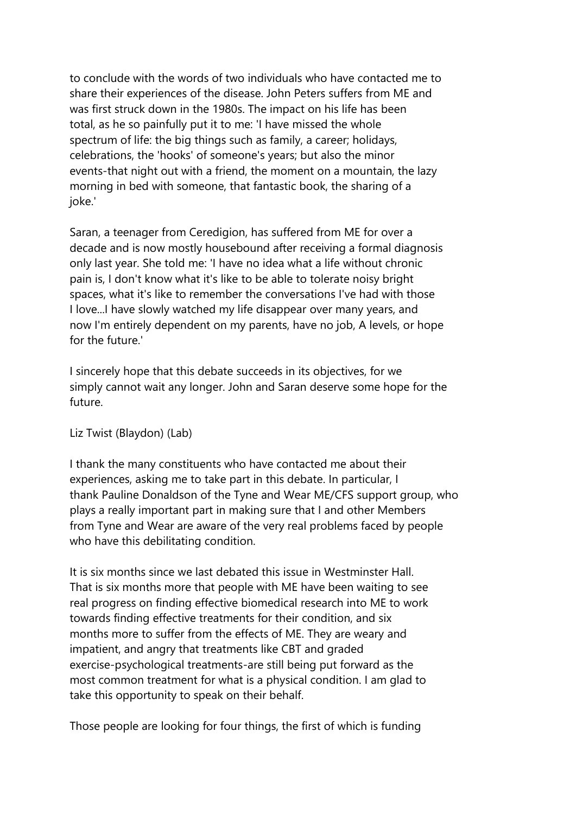to conclude with the words of two individuals who have contacted me to share their experiences of the disease. John Peters suffers from ME and was first struck down in the 1980s. The impact on his life has been total, as he so painfully put it to me: 'I have missed the whole spectrum of life: the big things such as family, a career; holidays, celebrations, the 'hooks' of someone's years; but also the minor events-that night out with a friend, the moment on a mountain, the lazy morning in bed with someone, that fantastic book, the sharing of a joke.'

Saran, a teenager from Ceredigion, has suffered from ME for over a decade and is now mostly housebound after receiving a formal diagnosis only last year. She told me: 'I have no idea what a life without chronic pain is, I don't know what it's like to be able to tolerate noisy bright spaces, what it's like to remember the conversations I've had with those I love...I have slowly watched my life disappear over many years, and now I'm entirely dependent on my parents, have no job, A levels, or hope for the future.'

I sincerely hope that this debate succeeds in its objectives, for we simply cannot wait any longer. John and Saran deserve some hope for the future.

Liz Twist (Blaydon) (Lab)

I thank the many constituents who have contacted me about their experiences, asking me to take part in this debate. In particular, I thank Pauline Donaldson of the Tyne and Wear ME/CFS support group, who plays a really important part in making sure that I and other Members from Tyne and Wear are aware of the very real problems faced by people who have this debilitating condition.

It is six months since we last debated this issue in Westminster Hall. That is six months more that people with ME have been waiting to see real progress on finding effective biomedical research into ME to work towards finding effective treatments for their condition, and six months more to suffer from the effects of ME. They are weary and impatient, and angry that treatments like CBT and graded exercise-psychological treatments-are still being put forward as the most common treatment for what is a physical condition. I am glad to take this opportunity to speak on their behalf.

Those people are looking for four things, the first of which is funding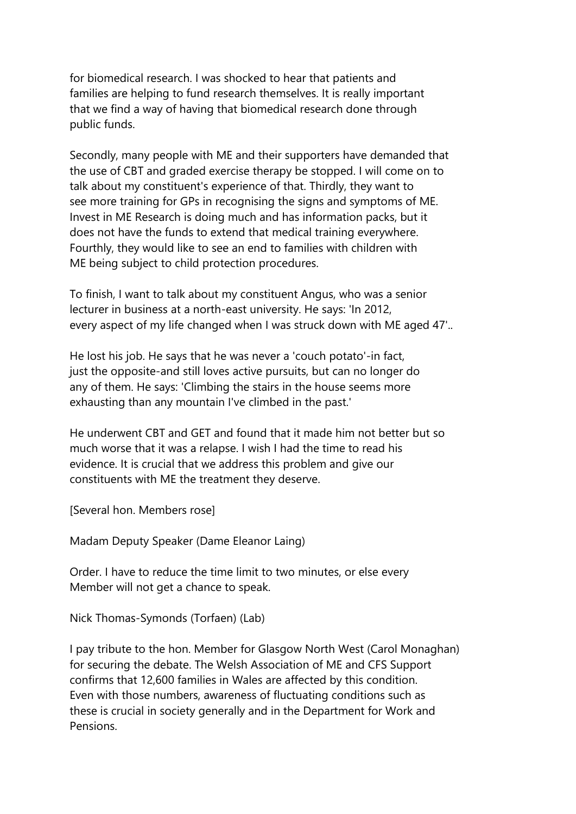for biomedical research. I was shocked to hear that patients and families are helping to fund research themselves. It is really important that we find a way of having that biomedical research done through public funds.

Secondly, many people with ME and their supporters have demanded that the use of CBT and graded exercise therapy be stopped. I will come on to talk about my constituent's experience of that. Thirdly, they want to see more training for GPs in recognising the signs and symptoms of ME. Invest in ME Research is doing much and has information packs, but it does not have the funds to extend that medical training everywhere. Fourthly, they would like to see an end to families with children with ME being subject to child protection procedures.

To finish, I want to talk about my constituent Angus, who was a senior lecturer in business at a north-east university. He says: 'In 2012, every aspect of my life changed when I was struck down with ME aged 47'..

He lost his job. He says that he was never a 'couch potato'-in fact, just the opposite-and still loves active pursuits, but can no longer do any of them. He says: 'Climbing the stairs in the house seems more exhausting than any mountain I've climbed in the past.'

He underwent CBT and GET and found that it made him not better but so much worse that it was a relapse. I wish I had the time to read his evidence. It is crucial that we address this problem and give our constituents with ME the treatment they deserve.

[Several hon. Members rose]

Madam Deputy Speaker (Dame Eleanor Laing)

Order. I have to reduce the time limit to two minutes, or else every Member will not get a chance to speak.

Nick Thomas-Symonds (Torfaen) (Lab)

I pay tribute to the hon. Member for Glasgow North West (Carol Monaghan) for securing the debate. The Welsh Association of ME and CFS Support confirms that 12,600 families in Wales are affected by this condition. Even with those numbers, awareness of fluctuating conditions such as these is crucial in society generally and in the Department for Work and Pensions.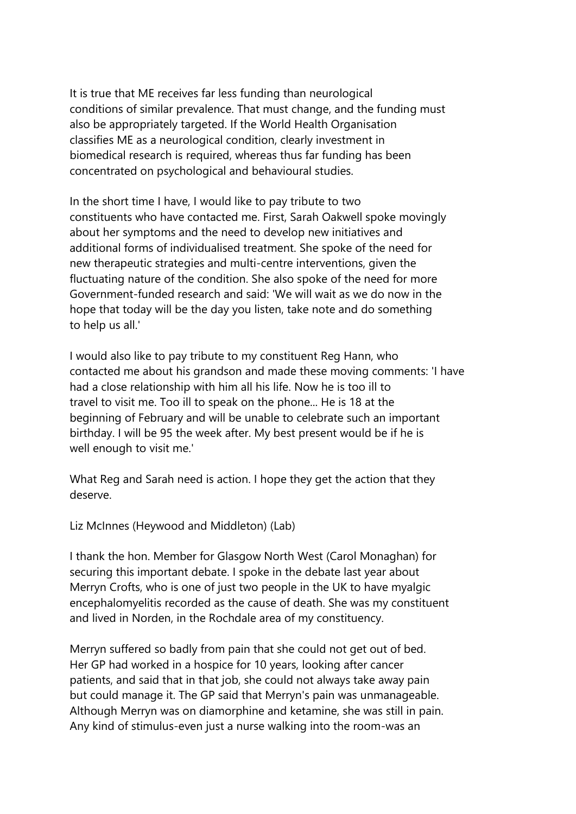It is true that ME receives far less funding than neurological conditions of similar prevalence. That must change, and the funding must also be appropriately targeted. If the World Health Organisation classifies ME as a neurological condition, clearly investment in biomedical research is required, whereas thus far funding has been concentrated on psychological and behavioural studies.

In the short time I have, I would like to pay tribute to two constituents who have contacted me. First, Sarah Oakwell spoke movingly about her symptoms and the need to develop new initiatives and additional forms of individualised treatment. She spoke of the need for new therapeutic strategies and multi-centre interventions, given the fluctuating nature of the condition. She also spoke of the need for more Government-funded research and said: 'We will wait as we do now in the hope that today will be the day you listen, take note and do something to help us all.'

I would also like to pay tribute to my constituent Reg Hann, who contacted me about his grandson and made these moving comments: 'I have had a close relationship with him all his life. Now he is too ill to travel to visit me. Too ill to speak on the phone... He is 18 at the beginning of February and will be unable to celebrate such an important birthday. I will be 95 the week after. My best present would be if he is well enough to visit me.'

What Reg and Sarah need is action. I hope they get the action that they deserve.

Liz McInnes (Heywood and Middleton) (Lab)

I thank the hon. Member for Glasgow North West (Carol Monaghan) for securing this important debate. I spoke in the debate last year about Merryn Crofts, who is one of just two people in the UK to have myalgic encephalomyelitis recorded as the cause of death. She was my constituent and lived in Norden, in the Rochdale area of my constituency.

Merryn suffered so badly from pain that she could not get out of bed. Her GP had worked in a hospice for 10 years, looking after cancer patients, and said that in that job, she could not always take away pain but could manage it. The GP said that Merryn's pain was unmanageable. Although Merryn was on diamorphine and ketamine, she was still in pain. Any kind of stimulus-even just a nurse walking into the room-was an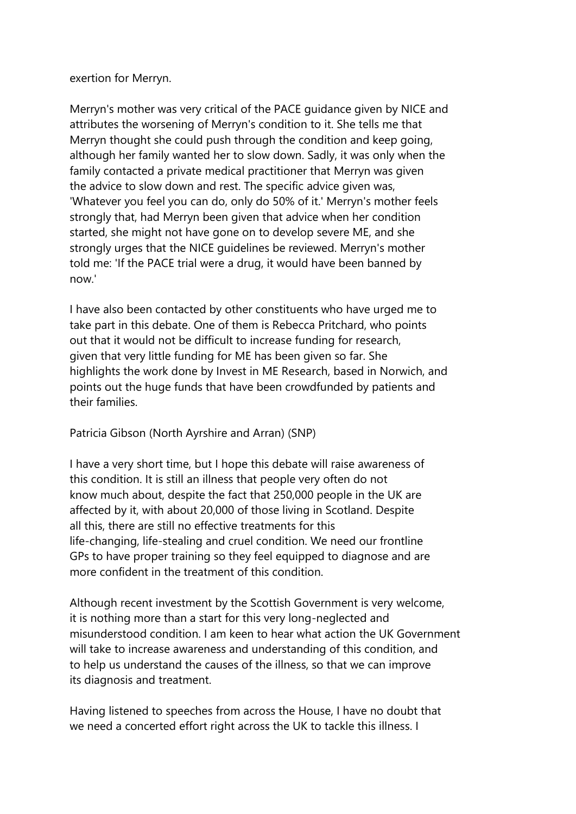exertion for Merryn.

Merryn's mother was very critical of the PACE guidance given by NICE and attributes the worsening of Merryn's condition to it. She tells me that Merryn thought she could push through the condition and keep going, although her family wanted her to slow down. Sadly, it was only when the family contacted a private medical practitioner that Merryn was given the advice to slow down and rest. The specific advice given was, 'Whatever you feel you can do, only do 50% of it.' Merryn's mother feels strongly that, had Merryn been given that advice when her condition started, she might not have gone on to develop severe ME, and she strongly urges that the NICE guidelines be reviewed. Merryn's mother told me: 'If the PACE trial were a drug, it would have been banned by now.'

I have also been contacted by other constituents who have urged me to take part in this debate. One of them is Rebecca Pritchard, who points out that it would not be difficult to increase funding for research, given that very little funding for ME has been given so far. She highlights the work done by Invest in ME Research, based in Norwich, and points out the huge funds that have been crowdfunded by patients and their families.

Patricia Gibson (North Ayrshire and Arran) (SNP)

I have a very short time, but I hope this debate will raise awareness of this condition. It is still an illness that people very often do not know much about, despite the fact that 250,000 people in the UK are affected by it, with about 20,000 of those living in Scotland. Despite all this, there are still no effective treatments for this life-changing, life-stealing and cruel condition. We need our frontline GPs to have proper training so they feel equipped to diagnose and are more confident in the treatment of this condition.

Although recent investment by the Scottish Government is very welcome, it is nothing more than a start for this very long-neglected and misunderstood condition. I am keen to hear what action the UK Government will take to increase awareness and understanding of this condition, and to help us understand the causes of the illness, so that we can improve its diagnosis and treatment.

Having listened to speeches from across the House, I have no doubt that we need a concerted effort right across the UK to tackle this illness. I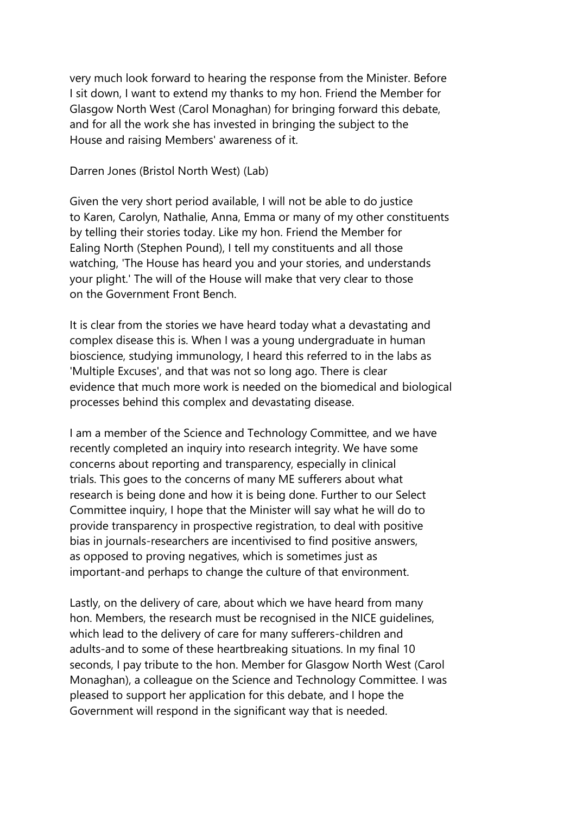very much look forward to hearing the response from the Minister. Before I sit down, I want to extend my thanks to my hon. Friend the Member for Glasgow North West (Carol Monaghan) for bringing forward this debate, and for all the work she has invested in bringing the subject to the House and raising Members' awareness of it.

Darren Jones (Bristol North West) (Lab)

Given the very short period available, I will not be able to do justice to Karen, Carolyn, Nathalie, Anna, Emma or many of my other constituents by telling their stories today. Like my hon. Friend the Member for Ealing North (Stephen Pound), I tell my constituents and all those watching, 'The House has heard you and your stories, and understands your plight.' The will of the House will make that very clear to those on the Government Front Bench.

It is clear from the stories we have heard today what a devastating and complex disease this is. When I was a young undergraduate in human bioscience, studying immunology, I heard this referred to in the labs as 'Multiple Excuses', and that was not so long ago. There is clear evidence that much more work is needed on the biomedical and biological processes behind this complex and devastating disease.

I am a member of the Science and Technology Committee, and we have recently completed an inquiry into research integrity. We have some concerns about reporting and transparency, especially in clinical trials. This goes to the concerns of many ME sufferers about what research is being done and how it is being done. Further to our Select Committee inquiry, I hope that the Minister will say what he will do to provide transparency in prospective registration, to deal with positive bias in journals-researchers are incentivised to find positive answers, as opposed to proving negatives, which is sometimes just as important-and perhaps to change the culture of that environment.

Lastly, on the delivery of care, about which we have heard from many hon. Members, the research must be recognised in the NICE guidelines, which lead to the delivery of care for many sufferers-children and adults-and to some of these heartbreaking situations. In my final 10 seconds, I pay tribute to the hon. Member for Glasgow North West (Carol Monaghan), a colleague on the Science and Technology Committee. I was pleased to support her application for this debate, and I hope the Government will respond in the significant way that is needed.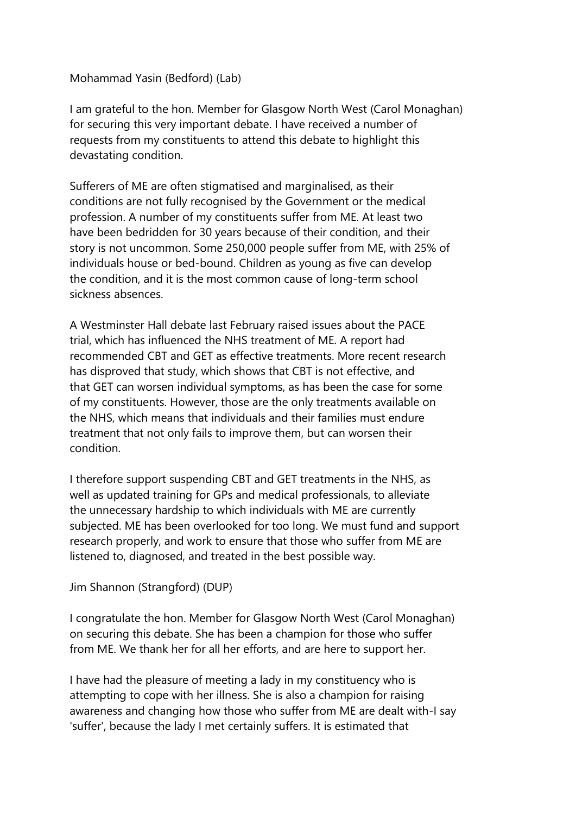### Mohammad Yasin (Bedford) (Lab)

I am grateful to the hon. Member for Glasgow North West (Carol Monaghan) for securing this very important debate. I have received a number of requests from my constituents to attend this debate to highlight this devastating condition.

Sufferers of ME are often stigmatised and marginalised, as their conditions are not fully recognised by the Government or the medical profession. A number of my constituents suffer from ME. At least two have been bedridden for 30 years because of their condition, and their story is not uncommon. Some 250,000 people suffer from ME, with 25% of individuals house or bed-bound. Children as young as five can develop the condition, and it is the most common cause of long-term school sickness absences.

A Westminster Hall debate last February raised issues about the PACE trial, which has influenced the NHS treatment of ME. A report had recommended CBT and GET as effective treatments. More recent research has disproved that study, which shows that CBT is not effective, and that GET can worsen individual symptoms, as has been the case for some of my constituents. However, those are the only treatments available on the NHS, which means that individuals and their families must endure treatment that not only fails to improve them, but can worsen their condition.

I therefore support suspending CBT and GET treatments in the NHS, as well as updated training for GPs and medical professionals, to alleviate the unnecessary hardship to which individuals with ME are currently subjected. ME has been overlooked for too long. We must fund and support research properly, and work to ensure that those who suffer from ME are listened to, diagnosed, and treated in the best possible way.

## Jim Shannon (Strangford) (DUP)

I congratulate the hon. Member for Glasgow North West (Carol Monaghan) on securing this debate. She has been a champion for those who suffer from ME. We thank her for all her efforts, and are here to support her.

I have had the pleasure of meeting a lady in my constituency who is attempting to cope with her illness. She is also a champion for raising awareness and changing how those who suffer from ME are dealt with-I say 'suffer', because the lady I met certainly suffers. It is estimated that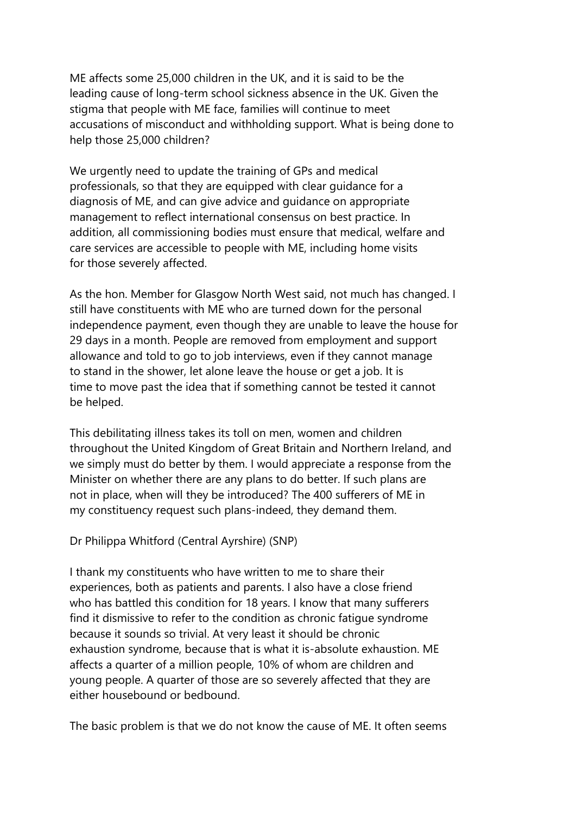ME affects some 25,000 children in the UK, and it is said to be the leading cause of long-term school sickness absence in the UK. Given the stigma that people with ME face, families will continue to meet accusations of misconduct and withholding support. What is being done to help those 25,000 children?

We urgently need to update the training of GPs and medical professionals, so that they are equipped with clear guidance for a diagnosis of ME, and can give advice and guidance on appropriate management to reflect international consensus on best practice. In addition, all commissioning bodies must ensure that medical, welfare and care services are accessible to people with ME, including home visits for those severely affected.

As the hon. Member for Glasgow North West said, not much has changed. I still have constituents with ME who are turned down for the personal independence payment, even though they are unable to leave the house for 29 days in a month. People are removed from employment and support allowance and told to go to job interviews, even if they cannot manage to stand in the shower, let alone leave the house or get a job. It is time to move past the idea that if something cannot be tested it cannot be helped.

This debilitating illness takes its toll on men, women and children throughout the United Kingdom of Great Britain and Northern Ireland, and we simply must do better by them. I would appreciate a response from the Minister on whether there are any plans to do better. If such plans are not in place, when will they be introduced? The 400 sufferers of ME in my constituency request such plans-indeed, they demand them.

## Dr Philippa Whitford (Central Ayrshire) (SNP)

I thank my constituents who have written to me to share their experiences, both as patients and parents. I also have a close friend who has battled this condition for 18 years. I know that many sufferers find it dismissive to refer to the condition as chronic fatigue syndrome because it sounds so trivial. At very least it should be chronic exhaustion syndrome, because that is what it is-absolute exhaustion. ME affects a quarter of a million people, 10% of whom are children and young people. A quarter of those are so severely affected that they are either housebound or bedbound.

The basic problem is that we do not know the cause of ME. It often seems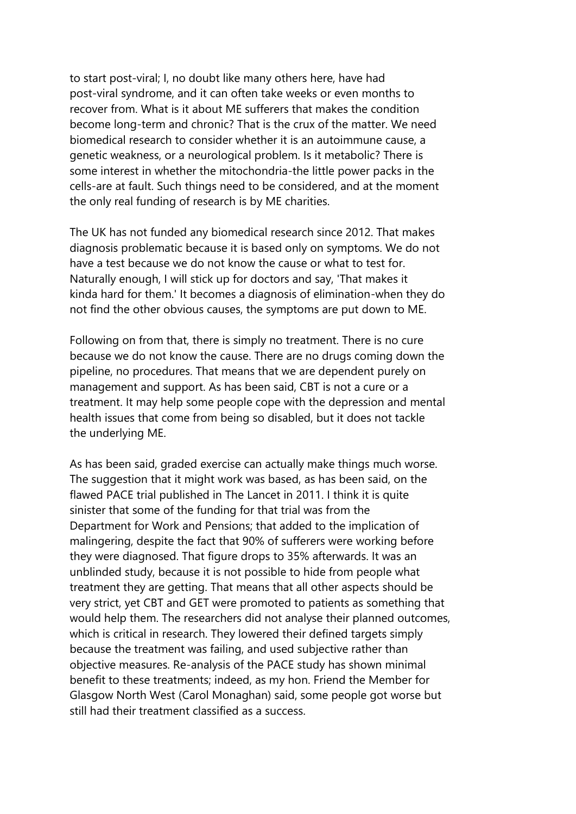to start post-viral; I, no doubt like many others here, have had post-viral syndrome, and it can often take weeks or even months to recover from. What is it about ME sufferers that makes the condition become long-term and chronic? That is the crux of the matter. We need biomedical research to consider whether it is an autoimmune cause, a genetic weakness, or a neurological problem. Is it metabolic? There is some interest in whether the mitochondria-the little power packs in the cells-are at fault. Such things need to be considered, and at the moment the only real funding of research is by ME charities.

The UK has not funded any biomedical research since 2012. That makes diagnosis problematic because it is based only on symptoms. We do not have a test because we do not know the cause or what to test for. Naturally enough, I will stick up for doctors and say, 'That makes it kinda hard for them.' It becomes a diagnosis of elimination-when they do not find the other obvious causes, the symptoms are put down to ME.

Following on from that, there is simply no treatment. There is no cure because we do not know the cause. There are no drugs coming down the pipeline, no procedures. That means that we are dependent purely on management and support. As has been said, CBT is not a cure or a treatment. It may help some people cope with the depression and mental health issues that come from being so disabled, but it does not tackle the underlying ME.

As has been said, graded exercise can actually make things much worse. The suggestion that it might work was based, as has been said, on the flawed PACE trial published in The Lancet in 2011. I think it is quite sinister that some of the funding for that trial was from the Department for Work and Pensions; that added to the implication of malingering, despite the fact that 90% of sufferers were working before they were diagnosed. That figure drops to 35% afterwards. It was an unblinded study, because it is not possible to hide from people what treatment they are getting. That means that all other aspects should be very strict, yet CBT and GET were promoted to patients as something that would help them. The researchers did not analyse their planned outcomes, which is critical in research. They lowered their defined targets simply because the treatment was failing, and used subjective rather than objective measures. Re-analysis of the PACE study has shown minimal benefit to these treatments; indeed, as my hon. Friend the Member for Glasgow North West (Carol Monaghan) said, some people got worse but still had their treatment classified as a success.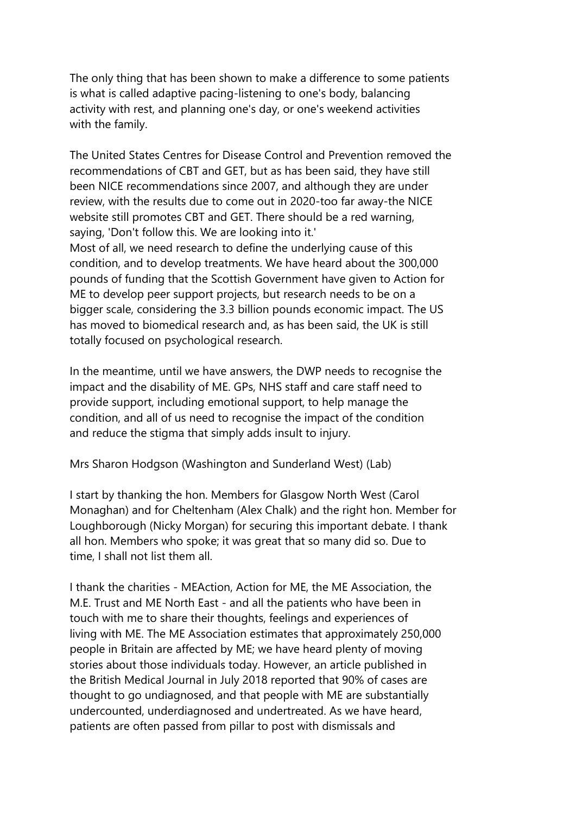The only thing that has been shown to make a difference to some patients is what is called adaptive pacing-listening to one's body, balancing activity with rest, and planning one's day, or one's weekend activities with the family.

The United States Centres for Disease Control and Prevention removed the recommendations of CBT and GET, but as has been said, they have still been NICE recommendations since 2007, and although they are under review, with the results due to come out in 2020-too far away-the NICE website still promotes CBT and GET. There should be a red warning, saying, 'Don't follow this. We are looking into it.' Most of all, we need research to define the underlying cause of this condition, and to develop treatments. We have heard about the 300,000 pounds of funding that the Scottish Government have given to Action for ME to develop peer support projects, but research needs to be on a bigger scale, considering the 3.3 billion pounds economic impact. The US has moved to biomedical research and, as has been said, the UK is still totally focused on psychological research.

In the meantime, until we have answers, the DWP needs to recognise the impact and the disability of ME. GPs, NHS staff and care staff need to provide support, including emotional support, to help manage the condition, and all of us need to recognise the impact of the condition and reduce the stigma that simply adds insult to injury.

Mrs Sharon Hodgson (Washington and Sunderland West) (Lab)

I start by thanking the hon. Members for Glasgow North West (Carol Monaghan) and for Cheltenham (Alex Chalk) and the right hon. Member for Loughborough (Nicky Morgan) for securing this important debate. I thank all hon. Members who spoke; it was great that so many did so. Due to time, I shall not list them all.

I thank the charities - MEAction, Action for ME, the ME Association, the M.E. Trust and ME North East - and all the patients who have been in touch with me to share their thoughts, feelings and experiences of living with ME. The ME Association estimates that approximately 250,000 people in Britain are affected by ME; we have heard plenty of moving stories about those individuals today. However, an article published in the British Medical Journal in July 2018 reported that 90% of cases are thought to go undiagnosed, and that people with ME are substantially undercounted, underdiagnosed and undertreated. As we have heard, patients are often passed from pillar to post with dismissals and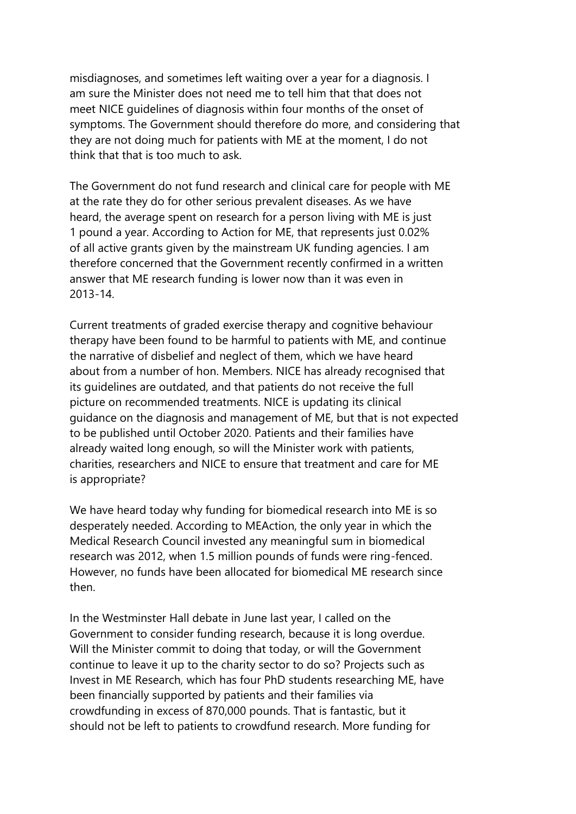misdiagnoses, and sometimes left waiting over a year for a diagnosis. I am sure the Minister does not need me to tell him that that does not meet NICE guidelines of diagnosis within four months of the onset of symptoms. The Government should therefore do more, and considering that they are not doing much for patients with ME at the moment, I do not think that that is too much to ask.

The Government do not fund research and clinical care for people with ME at the rate they do for other serious prevalent diseases. As we have heard, the average spent on research for a person living with ME is just 1 pound a year. According to Action for ME, that represents just 0.02% of all active grants given by the mainstream UK funding agencies. I am therefore concerned that the Government recently confirmed in a written answer that ME research funding is lower now than it was even in 2013-14.

Current treatments of graded exercise therapy and cognitive behaviour therapy have been found to be harmful to patients with ME, and continue the narrative of disbelief and neglect of them, which we have heard about from a number of hon. Members. NICE has already recognised that its guidelines are outdated, and that patients do not receive the full picture on recommended treatments. NICE is updating its clinical guidance on the diagnosis and management of ME, but that is not expected to be published until October 2020. Patients and their families have already waited long enough, so will the Minister work with patients, charities, researchers and NICE to ensure that treatment and care for ME is appropriate?

We have heard today why funding for biomedical research into ME is so desperately needed. According to MEAction, the only year in which the Medical Research Council invested any meaningful sum in biomedical research was 2012, when 1.5 million pounds of funds were ring-fenced. However, no funds have been allocated for biomedical ME research since then.

In the Westminster Hall debate in June last year, I called on the Government to consider funding research, because it is long overdue. Will the Minister commit to doing that today, or will the Government continue to leave it up to the charity sector to do so? Projects such as Invest in ME Research, which has four PhD students researching ME, have been financially supported by patients and their families via crowdfunding in excess of 870,000 pounds. That is fantastic, but it should not be left to patients to crowdfund research. More funding for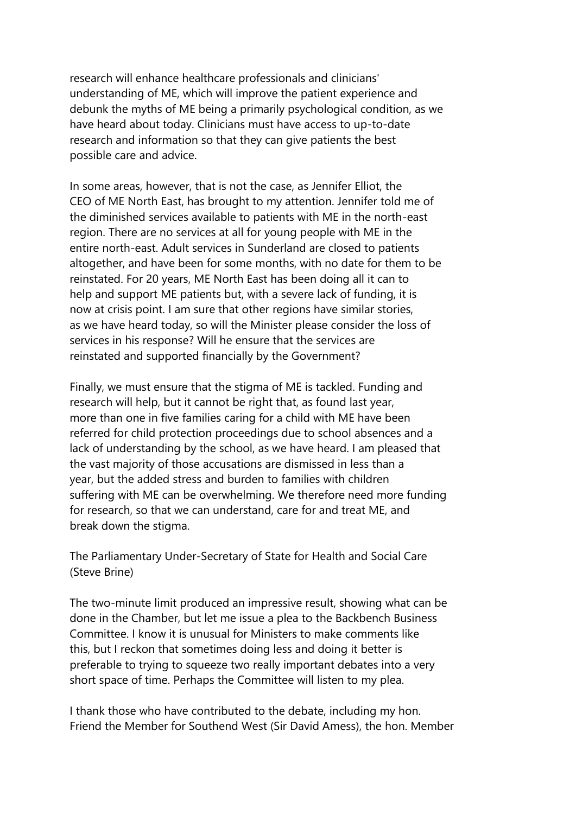research will enhance healthcare professionals and clinicians' understanding of ME, which will improve the patient experience and debunk the myths of ME being a primarily psychological condition, as we have heard about today. Clinicians must have access to up-to-date research and information so that they can give patients the best possible care and advice.

In some areas, however, that is not the case, as Jennifer Elliot, the CEO of ME North East, has brought to my attention. Jennifer told me of the diminished services available to patients with ME in the north-east region. There are no services at all for young people with ME in the entire north-east. Adult services in Sunderland are closed to patients altogether, and have been for some months, with no date for them to be reinstated. For 20 years, ME North East has been doing all it can to help and support ME patients but, with a severe lack of funding, it is now at crisis point. I am sure that other regions have similar stories, as we have heard today, so will the Minister please consider the loss of services in his response? Will he ensure that the services are reinstated and supported financially by the Government?

Finally, we must ensure that the stigma of ME is tackled. Funding and research will help, but it cannot be right that, as found last year, more than one in five families caring for a child with ME have been referred for child protection proceedings due to school absences and a lack of understanding by the school, as we have heard. I am pleased that the vast majority of those accusations are dismissed in less than a year, but the added stress and burden to families with children suffering with ME can be overwhelming. We therefore need more funding for research, so that we can understand, care for and treat ME, and break down the stigma.

The Parliamentary Under-Secretary of State for Health and Social Care (Steve Brine)

The two-minute limit produced an impressive result, showing what can be done in the Chamber, but let me issue a plea to the Backbench Business Committee. I know it is unusual for Ministers to make comments like this, but I reckon that sometimes doing less and doing it better is preferable to trying to squeeze two really important debates into a very short space of time. Perhaps the Committee will listen to my plea.

I thank those who have contributed to the debate, including my hon. Friend the Member for Southend West (Sir David Amess), the hon. Member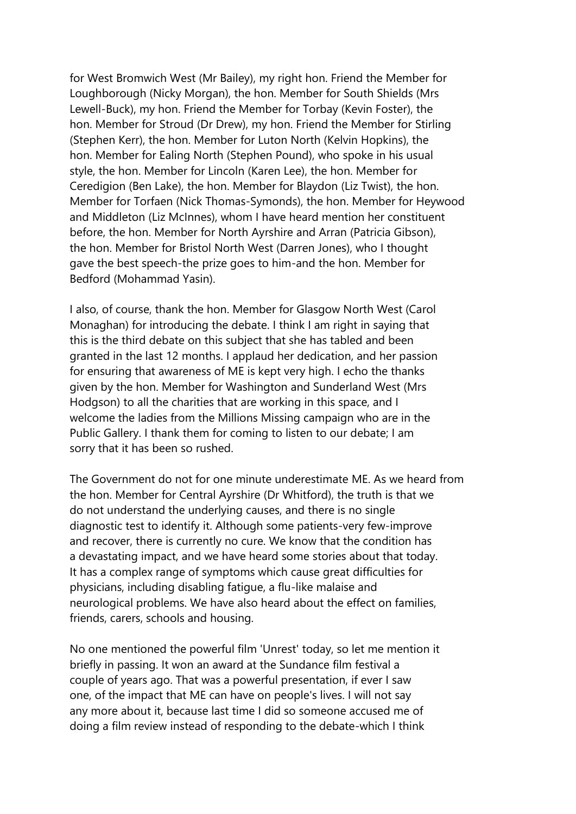for West Bromwich West (Mr Bailey), my right hon. Friend the Member for Loughborough (Nicky Morgan), the hon. Member for South Shields (Mrs Lewell-Buck), my hon. Friend the Member for Torbay (Kevin Foster), the hon. Member for Stroud (Dr Drew), my hon. Friend the Member for Stirling (Stephen Kerr), the hon. Member for Luton North (Kelvin Hopkins), the hon. Member for Ealing North (Stephen Pound), who spoke in his usual style, the hon. Member for Lincoln (Karen Lee), the hon. Member for Ceredigion (Ben Lake), the hon. Member for Blaydon (Liz Twist), the hon. Member for Torfaen (Nick Thomas-Symonds), the hon. Member for Heywood and Middleton (Liz McInnes), whom I have heard mention her constituent before, the hon. Member for North Ayrshire and Arran (Patricia Gibson), the hon. Member for Bristol North West (Darren Jones), who I thought gave the best speech-the prize goes to him-and the hon. Member for Bedford (Mohammad Yasin).

I also, of course, thank the hon. Member for Glasgow North West (Carol Monaghan) for introducing the debate. I think I am right in saying that this is the third debate on this subject that she has tabled and been granted in the last 12 months. I applaud her dedication, and her passion for ensuring that awareness of ME is kept very high. I echo the thanks given by the hon. Member for Washington and Sunderland West (Mrs Hodgson) to all the charities that are working in this space, and I welcome the ladies from the Millions Missing campaign who are in the Public Gallery. I thank them for coming to listen to our debate; I am sorry that it has been so rushed.

The Government do not for one minute underestimate ME. As we heard from the hon. Member for Central Ayrshire (Dr Whitford), the truth is that we do not understand the underlying causes, and there is no single diagnostic test to identify it. Although some patients-very few-improve and recover, there is currently no cure. We know that the condition has a devastating impact, and we have heard some stories about that today. It has a complex range of symptoms which cause great difficulties for physicians, including disabling fatigue, a flu-like malaise and neurological problems. We have also heard about the effect on families, friends, carers, schools and housing.

No one mentioned the powerful film 'Unrest' today, so let me mention it briefly in passing. It won an award at the Sundance film festival a couple of years ago. That was a powerful presentation, if ever I saw one, of the impact that ME can have on people's lives. I will not say any more about it, because last time I did so someone accused me of doing a film review instead of responding to the debate-which I think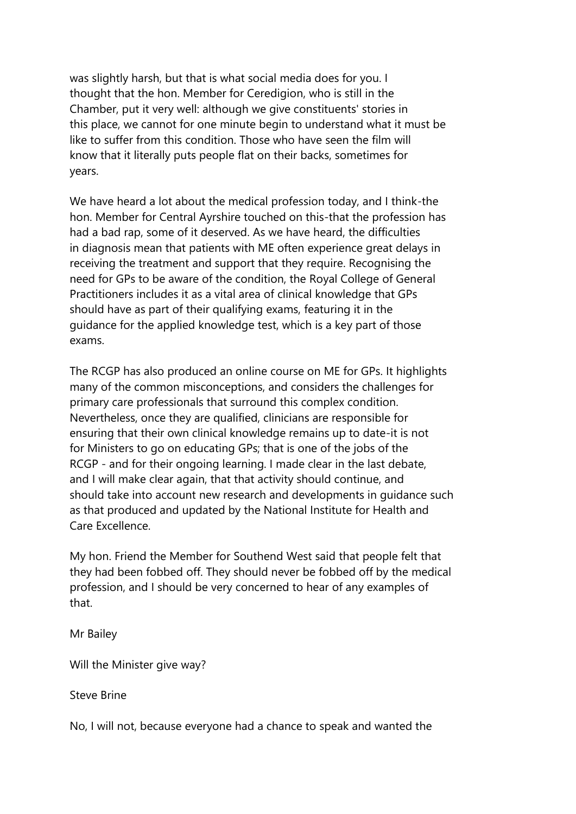was slightly harsh, but that is what social media does for you. I thought that the hon. Member for Ceredigion, who is still in the Chamber, put it very well: although we give constituents' stories in this place, we cannot for one minute begin to understand what it must be like to suffer from this condition. Those who have seen the film will know that it literally puts people flat on their backs, sometimes for years.

We have heard a lot about the medical profession today, and I think-the hon. Member for Central Ayrshire touched on this-that the profession has had a bad rap, some of it deserved. As we have heard, the difficulties in diagnosis mean that patients with ME often experience great delays in receiving the treatment and support that they require. Recognising the need for GPs to be aware of the condition, the Royal College of General Practitioners includes it as a vital area of clinical knowledge that GPs should have as part of their qualifying exams, featuring it in the guidance for the applied knowledge test, which is a key part of those exams.

The RCGP has also produced an online course on ME for GPs. It highlights many of the common misconceptions, and considers the challenges for primary care professionals that surround this complex condition. Nevertheless, once they are qualified, clinicians are responsible for ensuring that their own clinical knowledge remains up to date-it is not for Ministers to go on educating GPs; that is one of the jobs of the RCGP - and for their ongoing learning. I made clear in the last debate, and I will make clear again, that that activity should continue, and should take into account new research and developments in guidance such as that produced and updated by the National Institute for Health and Care Excellence.

My hon. Friend the Member for Southend West said that people felt that they had been fobbed off. They should never be fobbed off by the medical profession, and I should be very concerned to hear of any examples of that.

Mr Bailey

Will the Minister give way?

Steve Brine

No, I will not, because everyone had a chance to speak and wanted the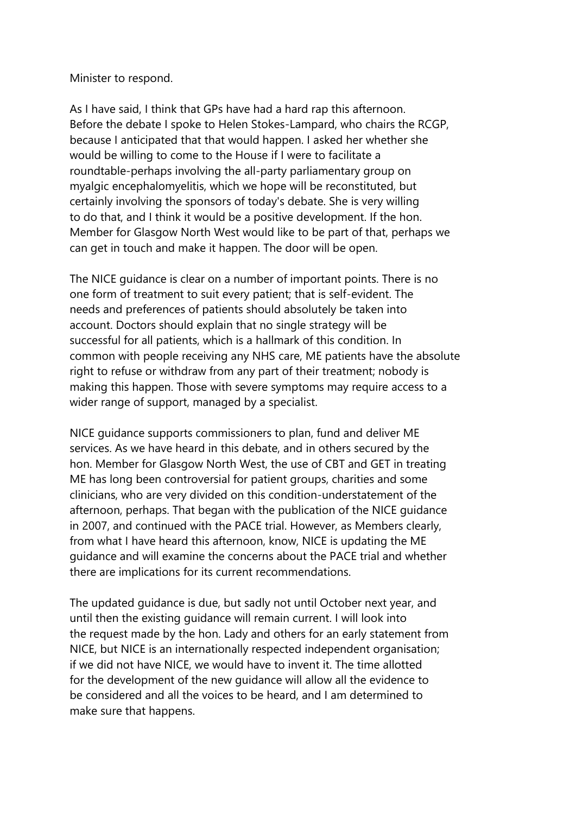Minister to respond.

As I have said, I think that GPs have had a hard rap this afternoon. Before the debate I spoke to Helen Stokes-Lampard, who chairs the RCGP, because I anticipated that that would happen. I asked her whether she would be willing to come to the House if I were to facilitate a roundtable-perhaps involving the all-party parliamentary group on myalgic encephalomyelitis, which we hope will be reconstituted, but certainly involving the sponsors of today's debate. She is very willing to do that, and I think it would be a positive development. If the hon. Member for Glasgow North West would like to be part of that, perhaps we can get in touch and make it happen. The door will be open.

The NICE guidance is clear on a number of important points. There is no one form of treatment to suit every patient; that is self-evident. The needs and preferences of patients should absolutely be taken into account. Doctors should explain that no single strategy will be successful for all patients, which is a hallmark of this condition. In common with people receiving any NHS care, ME patients have the absolute right to refuse or withdraw from any part of their treatment; nobody is making this happen. Those with severe symptoms may require access to a wider range of support, managed by a specialist.

NICE guidance supports commissioners to plan, fund and deliver ME services. As we have heard in this debate, and in others secured by the hon. Member for Glasgow North West, the use of CBT and GET in treating ME has long been controversial for patient groups, charities and some clinicians, who are very divided on this condition-understatement of the afternoon, perhaps. That began with the publication of the NICE guidance in 2007, and continued with the PACE trial. However, as Members clearly, from what I have heard this afternoon, know, NICE is updating the ME guidance and will examine the concerns about the PACE trial and whether there are implications for its current recommendations.

The updated guidance is due, but sadly not until October next year, and until then the existing guidance will remain current. I will look into the request made by the hon. Lady and others for an early statement from NICE, but NICE is an internationally respected independent organisation; if we did not have NICE, we would have to invent it. The time allotted for the development of the new guidance will allow all the evidence to be considered and all the voices to be heard, and I am determined to make sure that happens.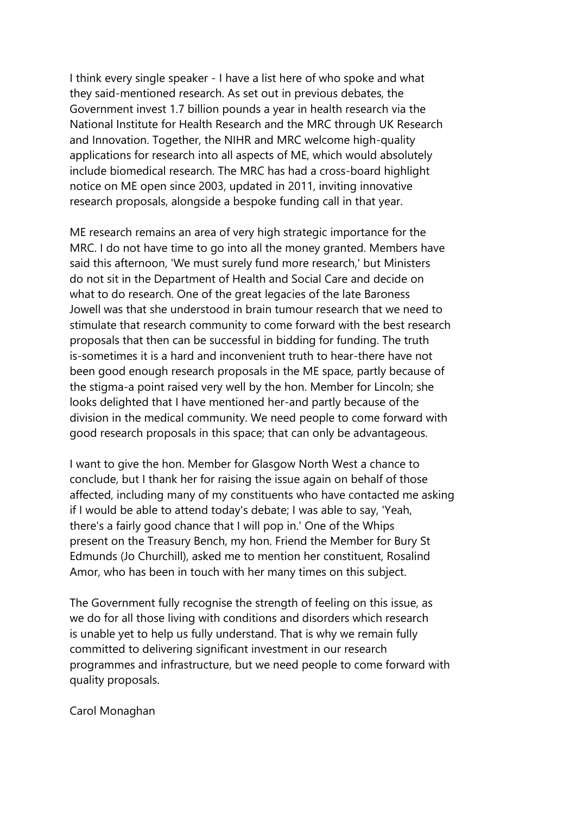I think every single speaker - I have a list here of who spoke and what they said-mentioned research. As set out in previous debates, the Government invest 1.7 billion pounds a year in health research via the National Institute for Health Research and the MRC through UK Research and Innovation. Together, the NIHR and MRC welcome high-quality applications for research into all aspects of ME, which would absolutely include biomedical research. The MRC has had a cross-board highlight notice on ME open since 2003, updated in 2011, inviting innovative research proposals, alongside a bespoke funding call in that year.

ME research remains an area of very high strategic importance for the MRC. I do not have time to go into all the money granted. Members have said this afternoon, 'We must surely fund more research,' but Ministers do not sit in the Department of Health and Social Care and decide on what to do research. One of the great legacies of the late Baroness Jowell was that she understood in brain tumour research that we need to stimulate that research community to come forward with the best research proposals that then can be successful in bidding for funding. The truth is-sometimes it is a hard and inconvenient truth to hear-there have not been good enough research proposals in the ME space, partly because of the stigma-a point raised very well by the hon. Member for Lincoln; she looks delighted that I have mentioned her-and partly because of the division in the medical community. We need people to come forward with good research proposals in this space; that can only be advantageous.

I want to give the hon. Member for Glasgow North West a chance to conclude, but I thank her for raising the issue again on behalf of those affected, including many of my constituents who have contacted me asking if I would be able to attend today's debate; I was able to say, 'Yeah, there's a fairly good chance that I will pop in.' One of the Whips present on the Treasury Bench, my hon. Friend the Member for Bury St Edmunds (Jo Churchill), asked me to mention her constituent, Rosalind Amor, who has been in touch with her many times on this subject.

The Government fully recognise the strength of feeling on this issue, as we do for all those living with conditions and disorders which research is unable yet to help us fully understand. That is why we remain fully committed to delivering significant investment in our research programmes and infrastructure, but we need people to come forward with quality proposals.

Carol Monaghan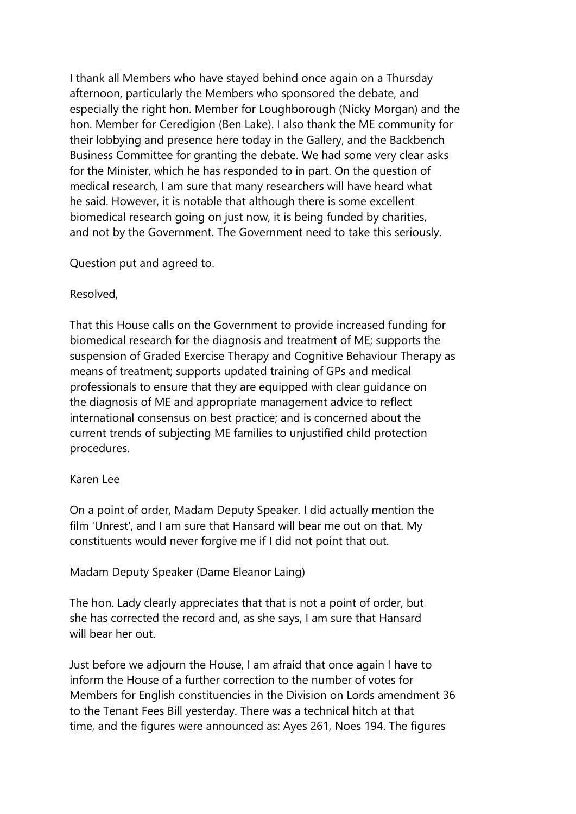I thank all Members who have stayed behind once again on a Thursday afternoon, particularly the Members who sponsored the debate, and especially the right hon. Member for Loughborough (Nicky Morgan) and the hon. Member for Ceredigion (Ben Lake). I also thank the ME community for their lobbying and presence here today in the Gallery, and the Backbench Business Committee for granting the debate. We had some very clear asks for the Minister, which he has responded to in part. On the question of medical research, I am sure that many researchers will have heard what he said. However, it is notable that although there is some excellent biomedical research going on just now, it is being funded by charities, and not by the Government. The Government need to take this seriously.

Question put and agreed to.

### Resolved,

That this House calls on the Government to provide increased funding for biomedical research for the diagnosis and treatment of ME; supports the suspension of Graded Exercise Therapy and Cognitive Behaviour Therapy as means of treatment; supports updated training of GPs and medical professionals to ensure that they are equipped with clear guidance on the diagnosis of ME and appropriate management advice to reflect international consensus on best practice; and is concerned about the current trends of subjecting ME families to unjustified child protection procedures.

## Karen Lee

On a point of order, Madam Deputy Speaker. I did actually mention the film 'Unrest', and I am sure that Hansard will bear me out on that. My constituents would never forgive me if I did not point that out.

## Madam Deputy Speaker (Dame Eleanor Laing)

The hon. Lady clearly appreciates that that is not a point of order, but she has corrected the record and, as she says, I am sure that Hansard will bear her out.

Just before we adjourn the House, I am afraid that once again I have to inform the House of a further correction to the number of votes for Members for English constituencies in the Division on Lords amendment 36 to the Tenant Fees Bill yesterday. There was a technical hitch at that time, and the figures were announced as: Ayes 261, Noes 194. The figures